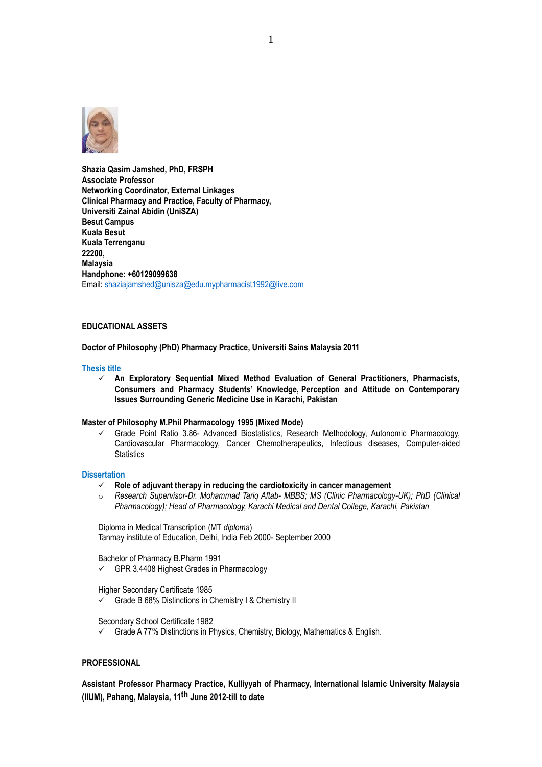

**Shazia Qasim Jamshed, PhD, FRSPH Associate Professor Networking Coordinator, External Linkages Clinical Pharmacy and Practice, Faculty of Pharmacy, Universiti Zainal Abidin (UniSZA) Besut Campus Kuala Besut Kuala Terrenganu 22200, Malaysia Handphone: +60129099638** Email: [shaziajamshed@unisza@edu.my](mailto:shaziajamshed@unisza@edu.my)[pharmacist1992@live.com](mailto:pharmacist1992@live.com)

## **EDUCATIONAL ASSETS**

#### **Doctor of Philosophy (PhD) Pharmacy Practice, Universiti Sains Malaysia 2011**

#### **Thesis title**

✓ **An Exploratory Sequential Mixed Method Evaluation of General Practitioners, Pharmacists, Consumers and Pharmacy Students' Knowledge, Perception and Attitude on Contemporary Issues Surrounding Generic Medicine Use in Karachi, Pakistan**

#### **Master of Philosophy M.Phil Pharmacology 1995 (Mixed Mode)**

✓ Grade Point Ratio 3.86- Advanced Biostatistics, Research Methodology, Autonomic Pharmacology, Cardiovascular Pharmacology, Cancer Chemotherapeutics, Infectious diseases, Computer-aided **Statistics** 

#### **Dissertation**

- ✓ **Role of adjuvant therapy in reducing the cardiotoxicity in cancer management**
- o *Research Supervisor-Dr. Mohammad Tariq Aftab- MBBS; MS (Clinic Pharmacology-UK); PhD (Clinical Pharmacology); Head of Pharmacology, Karachi Medical and Dental College, Karachi, Pakistan*

Diploma in Medical Transcription (MT *diploma*) Tanmay institute of Education, Delhi, India Feb 2000- September 2000

Bachelor of Pharmacy B.Pharm 1991

✓ GPR 3.4408 Highest Grades in Pharmacology

Higher Secondary Certificate 1985

 $\checkmark$  Grade B 68% Distinctions in Chemistry I & Chemistry II

Secondary School Certificate 1982

Grade A 77% Distinctions in Physics, Chemistry, Biology, Mathematics & English.

## **PROFESSIONAL**

**Assistant Professor Pharmacy Practice, Kulliyyah of Pharmacy, International Islamic University Malaysia (IIUM), Pahang, Malaysia, 11th June 2012-till to date**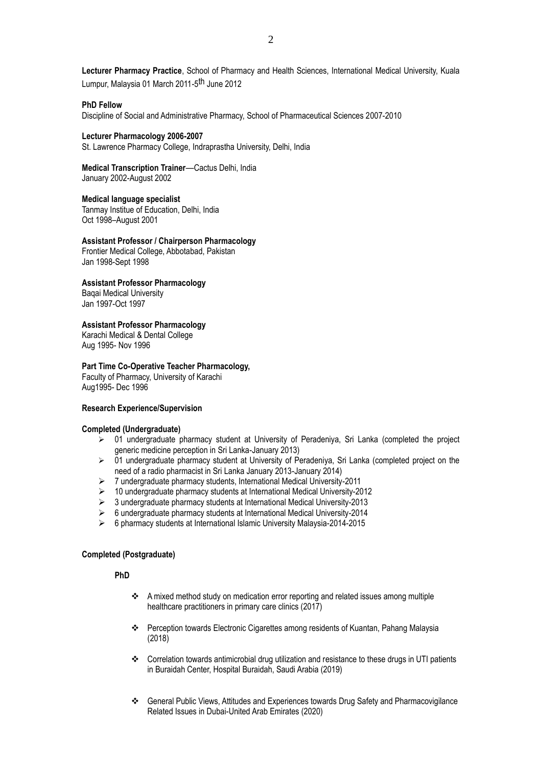**Lecturer Pharmacy Practice**, School of Pharmacy and Health Sciences, International Medical University, Kuala Lumpur, Malaysia 01 March 2011-5<sup>th</sup> June 2012

## **PhD Fellow**

Discipline of Social and Administrative Pharmacy, School of Pharmaceutical Sciences 2007-2010

#### **Lecturer Pharmacology 2006-2007**

St. Lawrence Pharmacy College, Indraprastha University, Delhi, India

**Medical Transcription Trainer**––Cactus Delhi, India January 2002-August 2002

#### **Medical language specialist**

Tanmay Institue of Education, Delhi, India Oct 1998–August 2001

## **Assistant Professor / Chairperson Pharmacology**

Frontier Medical College, Abbotabad, Pakistan Jan 1998-Sept 1998

## **Assistant Professor Pharmacology**

Baqai Medical University Jan 1997-Oct 1997

## **Assistant Professor Pharmacology**

Karachi Medical & Dental College Aug 1995- Nov 1996

## **Part Time Co-Operative Teacher Pharmacology,**

Faculty of Pharmacy, University of Karachi Aug1995- Dec 1996

## **Research Experience/Supervision**

#### **Completed (Undergraduate)**

- $\geq 01$  undergraduate pharmacy student at University of Peradeniya, Sri Lanka (completed the project generic medicine perception in Sri Lanka-January 2013)
- $\geq$  01 undergraduate pharmacy student at University of Peradeniya, Sri Lanka (completed project on the need of a radio pharmacist in Sri Lanka January 2013-January 2014)
- ➢ 7 undergraduate pharmacy students, International Medical University-2011
- ➢ 10 undergraduate pharmacy students at International Medical University-2012
- ➢ 3 undergraduate pharmacy students at International Medical University-2013
- ➢ 6 undergraduate pharmacy students at International Medical University-2014
- ➢ 6 pharmacy students at International Islamic University Malaysia-2014-2015

#### **Completed (Postgraduate)**

**PhD**

- ❖ A mixed method study on medication error reporting and related issues among multiple healthcare practitioners in primary care clinics (2017)
- ❖ Perception towards Electronic Cigarettes among residents of Kuantan, Pahang Malaysia (2018)
- ❖ Correlation towards antimicrobial drug utilization and resistance to these drugs in UTI patients in Buraidah Center, Hospital Buraidah, Saudi Arabia (2019)
- ❖ General Public Views, Attitudes and Experiences towards Drug Safety and Pharmacovigilance Related Issues in Dubai-United Arab Emirates (2020)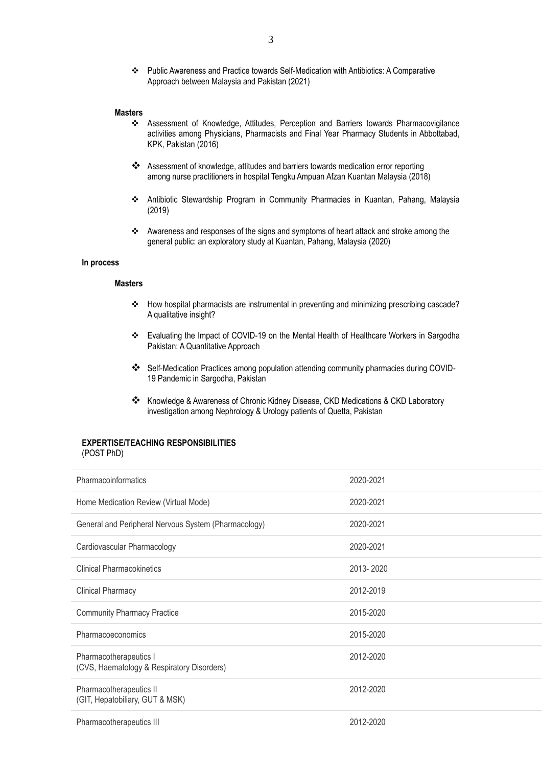❖ Public Awareness and Practice towards Self-Medication with Antibiotics: A Comparative Approach between Malaysia and Pakistan (2021)

#### **Masters**

- ❖ Assessment of Knowledge, Attitudes, Perception and Barriers towards Pharmacovigilance activities among Physicians, Pharmacists and Final Year Pharmacy Students in Abbottabad, KPK, Pakistan (2016)
- ❖ Assessment of knowledge, attitudes and barriers towards medication error reporting among nurse practitioners in hospital Tengku Ampuan Afzan Kuantan Malaysia (2018)
- ❖ Antibiotic Stewardship Program in Community Pharmacies in Kuantan, Pahang, Malaysia (2019)
- ❖ Awareness and responses of the signs and symptoms of heart attack and stroke among the general public: an exploratory study at Kuantan, Pahang, Malaysia (2020)

#### **In process**

#### **Masters**

- ❖ How hospital pharmacists are instrumental in preventing and minimizing prescribing cascade? A qualitative insight?
- ❖ Evaluating the Impact of COVID-19 on the Mental Health of Healthcare Workers in Sargodha Pakistan: A Quantitative Approach
- ❖ Self-Medication Practices among population attending community pharmacies during COVID-19 Pandemic in Sargodha, Pakistan
- ❖ Knowledge & Awareness of Chronic Kidney Disease, CKD Medications & CKD Laboratory investigation among Nephrology & Urology patients of Quetta, Pakistan

# **EXPERTISE/TEACHING RESPONSIBILITIES**

| (POST PhD) |  |
|------------|--|
|------------|--|

| Pharmacoinformatics                                                  | 2020-2021 |
|----------------------------------------------------------------------|-----------|
| Home Medication Review (Virtual Mode)                                | 2020-2021 |
| General and Peripheral Nervous System (Pharmacology)                 | 2020-2021 |
| Cardiovascular Pharmacology                                          | 2020-2021 |
| <b>Clinical Pharmacokinetics</b>                                     | 2013-2020 |
| <b>Clinical Pharmacy</b>                                             | 2012-2019 |
| <b>Community Pharmacy Practice</b>                                   | 2015-2020 |
| Pharmacoeconomics                                                    | 2015-2020 |
| Pharmacotherapeutics I<br>(CVS, Haematology & Respiratory Disorders) | 2012-2020 |
| Pharmacotherapeutics II<br>(GIT, Hepatobiliary, GUT & MSK)           | 2012-2020 |
| Pharmacotherapeutics III                                             | 2012-2020 |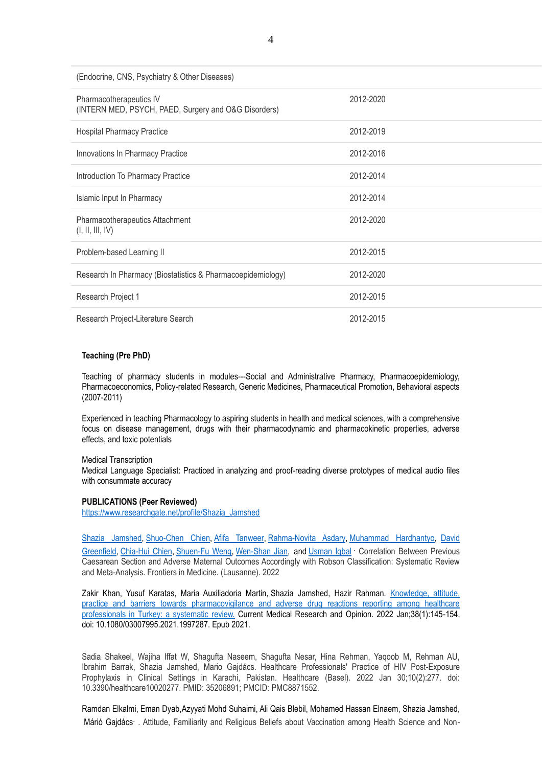| (Endocrine, CNS, Psychiatry & Other Diseases)                                   |           |
|---------------------------------------------------------------------------------|-----------|
| Pharmacotherapeutics IV<br>(INTERN MED, PSYCH, PAED, Surgery and O&G Disorders) | 2012-2020 |
| <b>Hospital Pharmacy Practice</b>                                               | 2012-2019 |
| Innovations In Pharmacy Practice                                                | 2012-2016 |
| Introduction To Pharmacy Practice                                               | 2012-2014 |
| Islamic Input In Pharmacy                                                       | 2012-2014 |
| Pharmacotherapeutics Attachment<br>(I, II, III, IV)                             | 2012-2020 |
| Problem-based Learning II                                                       | 2012-2015 |
| Research In Pharmacy (Biostatistics & Pharmacoepidemiology)                     | 2012-2020 |
| Research Project 1                                                              | 2012-2015 |
| Research Project-Literature Search                                              | 2012-2015 |

## **Teaching (Pre PhD)**

Teaching of pharmacy students in modules---Social and Administrative Pharmacy, Pharmacoepidemiology, Pharmacoeconomics, Policy-related Research, Generic Medicines, Pharmaceutical Promotion, Behavioral aspects (2007-2011)

Experienced in teaching Pharmacology to aspiring students in health and medical sciences, with a comprehensive focus on disease management, drugs with their pharmacodynamic and pharmacokinetic properties, adverse effects, and toxic potentials

Medical Transcription

Medical Language Specialist: Practiced in analyzing and proof-reading diverse prototypes of medical audio files with consummate accuracy

#### **PUBLICATIONS (Peer Reviewed)**

[https://www.researchgate.net/profile/Shazia\\_Jamshed](https://www.researchgate.net/profile/Shazia_Jamshed)

Shazia Jamshed, Shuo-Chen Chien, Afifa Tanweer, Rahma-Novita Asdary, Muhammad Hardhantyo, David Greenfield, Chia-Hui Chien, Shuen-Fu Weng, Wen-Shan Jian, and Usman Iqbal · Correlation Between Previous Caesarean Section and Adverse Maternal Outcomes Accordingly with Robson Classification: Systematic Review and Meta-Analysis. Frontiers in Medicine. (Lausanne). 2022

Zakir Khan, Yusuf Karatas, Maria Auxiliadoria Martin, Shazia Jamshed, Hazir Rahman. [Knowledge, attitude,](https://pubmed.ncbi.nlm.nih.gov/34694167/)  [practice and barriers towards pharmacovigilance and adverse drug reactions reporting among healthcare](https://pubmed.ncbi.nlm.nih.gov/34694167/)  [professionals in Turkey: a systematic review.](https://pubmed.ncbi.nlm.nih.gov/34694167/) Current Medical Research and Opinion. 2022 Jan;38(1):145-154. doi: 10.1080/03007995.2021.1997287. Epub 2021.

Sadia Shakeel, Wajiha Iffat W, Shagufta Naseem, Shagufta Nesar, Hina Rehman, Yaqoob M, Rehman AU, Ibrahim Barrak, Shazia Jamshed, Mario Gajdács. Healthcare Professionals' Practice of HIV Post-Exposure Prophylaxis in Clinical Settings in Karachi, Pakistan. Healthcare (Basel). 2022 Jan 30;10(2):277. doi: 10.3390/healthcare10020277. PMID: 35206891; PMCID: PMC8871552.

Ramdan Elkalmi, Eman Dyab,Azyyati Mohd Suhaimi, Ali Qais Blebil, Mohamed Hassan Elnaem, Shazia Jamshed, Márió Gajdács · . Attitude, Familiarity and Religious Beliefs about Vaccination among Health Science and Non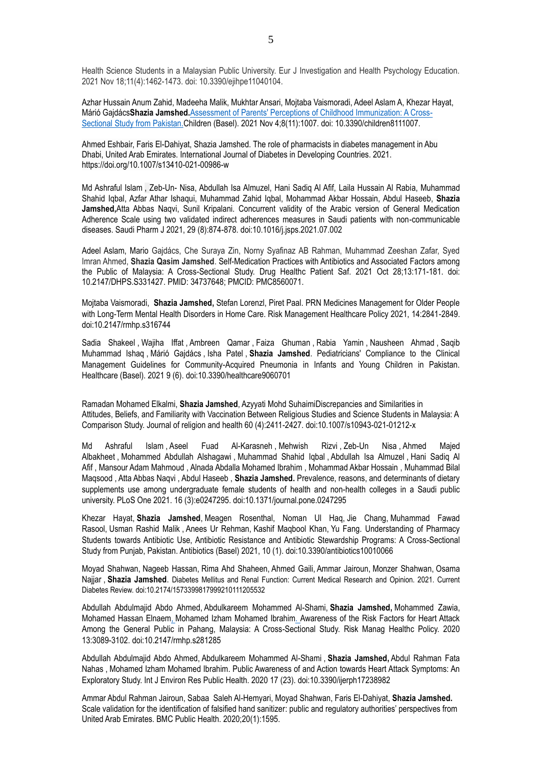Health Science Students in a Malaysian Public University. Eur J Investigation and Health Psychology Education. 2021 Nov 18;11(4):1462-1473. doi: 10.3390/ejihpe11040104.

Azhar Hussain Anum Zahid, Madeeha Malik, Mukhtar Ansari, Mojtaba Vaismoradi, Adeel Aslam A, Khezar Hayat, Márió Gajdács**Shazia Jamshed.**[Assessment of Parents' Perceptions of Childhood Immunization: A Cross-](https://pubmed.ncbi.nlm.nih.gov/34828720/)[Sectional Study from Pakistan.C](https://pubmed.ncbi.nlm.nih.gov/34828720/)hildren (Basel). 2021 Nov 4;8(11):1007. doi: 10.3390/children8111007.

Ahmed Eshbair, Faris El-Dahiyat, Shazia Jamshed. The role of pharmacists in diabetes management in Abu Dhabi, United Arab Emirates. International Journal of Diabetes in Developing Countries. 2021. <https://doi.org/10.1007/s13410-021-00986-w>

[Md Ashraful Islam](https://pubmed.ncbi.nlm.nih.gov/?sort=date&term=Islam+MA&cauthor_id=34408547) , [Zeb-Un-](https://pubmed.ncbi.nlm.nih.gov/?sort=date&term=Nisa+ZU&cauthor_id=34408547) Nisa[, Abdullah Isa Almuzel,](https://pubmed.ncbi.nlm.nih.gov/?sort=date&term=Almuzel+AI&cauthor_id=34408547) [Hani Sadiq Al Afif,](https://pubmed.ncbi.nlm.nih.gov/?sort=date&term=Al+Afif+HS&cauthor_id=34408547) [Laila Hussain Al Rabia,](https://pubmed.ncbi.nlm.nih.gov/?sort=date&term=Al+Rabia+LH&cauthor_id=34408547) [Muhammad](https://pubmed.ncbi.nlm.nih.gov/?sort=date&term=Iqbal+MS&cauthor_id=34408547)  [Shahid Iqbal,](https://pubmed.ncbi.nlm.nih.gov/?sort=date&term=Iqbal+MS&cauthor_id=34408547) [Azfar Athar Ishaqui,](https://pubmed.ncbi.nlm.nih.gov/?sort=date&term=Ishaqui+AA&cauthor_id=34408547) [Muhammad Zahid Iqbal,](https://pubmed.ncbi.nlm.nih.gov/?sort=date&term=Iqbal+MZ&cauthor_id=34408547) [Mohammad Akbar Hossain,](https://pubmed.ncbi.nlm.nih.gov/?sort=date&term=Hossain+MA&cauthor_id=34408547) [Abdul Haseeb,](https://pubmed.ncbi.nlm.nih.gov/?sort=date&term=Haseeb+A&cauthor_id=34408547) **[Shazia](https://pubmed.ncbi.nlm.nih.gov/?sort=date&term=Jamshed+S&cauthor_id=34408547)  [Jamshed,](https://pubmed.ncbi.nlm.nih.gov/?sort=date&term=Jamshed+S&cauthor_id=34408547)**[Atta Abbas Naqvi,](https://pubmed.ncbi.nlm.nih.gov/?sort=date&term=Naqvi+AA&cauthor_id=34408547) [Sunil Kripalani.](https://pubmed.ncbi.nlm.nih.gov/?sort=date&term=Kripalani+S&cauthor_id=34408547) Concurrent validity of the Arabic version of General Medication Adherence Scale using two validated indirect adherences measures in Saudi patients with non-communicable diseases. Saudi Pharm J 2021, 29 (8):874-878. doi:10.1016/j.jsps.2021.07.002

Adeel Aslam, Mario Gajdács, Che Suraya Zin, Norny Syafinaz AB Rahman, Muhammad Zeeshan Zafar, Syed Imran Ahmed, **Shazia Qasim Jamshed**. Self-Medication Practices with Antibiotics and Associated Factors among the Public of Malaysia: A Cross-Sectional Study. Drug Healthc Patient Saf. 2021 Oct 28;13:171-181. doi: 10.2147/DHPS.S331427. PMID: 34737648; PMCID: PMC8560071.

[Mojtaba Vaismoradi,](https://pubmed.ncbi.nlm.nih.gov/?sort=date&term=Vaismoradi+M&cauthor_id=34262371) **[Shazia Jamshed,](https://pubmed.ncbi.nlm.nih.gov/?sort=date&term=Jamshed+S&cauthor_id=34262371)** [Stefan Lorenzl,](https://pubmed.ncbi.nlm.nih.gov/?sort=date&term=Lorenzl+S&cauthor_id=34262371) [Piret Paal.](https://pubmed.ncbi.nlm.nih.gov/?sort=date&term=Paal+P&cauthor_id=34262371) PRN Medicines Management for Older People with Long-Term Mental Health Disorders in Home Care. Risk Management Healthcare Policy 2021, 14:2841-2849. doi:10.2147/rmhp.s316744

[Sadia Shakeel](https://pubmed.ncbi.nlm.nih.gov/?sort=date&term=Shakeel+S&cauthor_id=34207813) , [Wajiha](https://pubmed.ncbi.nlm.nih.gov/?sort=date&term=Iffat+W&cauthor_id=34207813) Iffat , [Ambreen Qamar](https://pubmed.ncbi.nlm.nih.gov/?sort=date&term=Qamar+A&cauthor_id=34207813) , [Faiza Ghuman](https://pubmed.ncbi.nlm.nih.gov/?sort=date&term=Ghuman+F&cauthor_id=34207813) , [Rabia Yamin](https://pubmed.ncbi.nlm.nih.gov/?sort=date&term=Yamin+R&cauthor_id=34207813) , [Nausheen Ahmad](https://pubmed.ncbi.nlm.nih.gov/?sort=date&term=Ahmad+N&cauthor_id=34207813) , [Saqib](https://pubmed.ncbi.nlm.nih.gov/?sort=date&term=Ishaq+SM&cauthor_id=34207813)  [Muhammad Ishaq](https://pubmed.ncbi.nlm.nih.gov/?sort=date&term=Ishaq+SM&cauthor_id=34207813) , [Márió Gajdács](https://pubmed.ncbi.nlm.nih.gov/?sort=date&term=Gajdács+M&cauthor_id=34207813) , [Isha Patel](https://pubmed.ncbi.nlm.nih.gov/?sort=date&term=Patel+I&cauthor_id=34207813) , **[Shazia Jamshed](https://pubmed.ncbi.nlm.nih.gov/?sort=date&term=Jamshed+S&cauthor_id=34207813)**. Pediatricians' Compliance to the Clinical Management Guidelines for Community-Acquired Pneumonia in Infants and Young Children in Pakistan. Healthcare (Basel). 2021 9 (6). doi:10.3390/healthcare9060701

[Ramadan Mohamed Elkalmi,](https://pubmed.ncbi.nlm.nih.gov/?sort=date&term=Elkalmi+RM&cauthor_id=33661436) **[Shazia Jamshed](https://pubmed.ncbi.nlm.nih.gov/?sort=date&term=Jamshed+SQ&cauthor_id=33661436)**, [Azyyati Mohd SuhaimiD](https://pubmed.ncbi.nlm.nih.gov/?sort=date&term=Suhaimi+AM&cauthor_id=33661436)iscrepancies and Similarities in Attitudes, Beliefs, and Familiarity with Vaccination Between Religious Studies and Science Students in Malaysia: A Comparison Study. Journal of religion and health 60 (4):2411-2427. doi:10.1007/s10943-021-01212-x

[Md Ashraful Islam](https://pubmed.ncbi.nlm.nih.gov/?sort=date&term=Islam+MA&cauthor_id=33657129) , [Aseel Fuad Al-Karasneh](https://pubmed.ncbi.nlm.nih.gov/?sort=date&term=Al-Karasneh+AF&cauthor_id=33657129) , [Mehwish Rizvi](https://pubmed.ncbi.nlm.nih.gov/?sort=date&term=Rizvi+M&cauthor_id=33657129) , [Zeb-Un Nisa](https://pubmed.ncbi.nlm.nih.gov/?sort=date&term=Nisa+ZU&cauthor_id=33657129) , [Ahmed Majed](https://pubmed.ncbi.nlm.nih.gov/?sort=date&term=Albakheet+AM&cauthor_id=33657129)  [Albakheet](https://pubmed.ncbi.nlm.nih.gov/?sort=date&term=Albakheet+AM&cauthor_id=33657129) , [Mohammed Abdullah Alshagawi](https://pubmed.ncbi.nlm.nih.gov/?sort=date&term=Alshagawi+MA&cauthor_id=33657129) , [Muhammad Shahid Iqbal](https://pubmed.ncbi.nlm.nih.gov/?sort=date&term=Iqbal+MS&cauthor_id=33657129) , [Abdullah Isa Almuzel](https://pubmed.ncbi.nlm.nih.gov/?sort=date&term=Almuzel+AI&cauthor_id=33657129) , [Hani Sadiq Al](https://pubmed.ncbi.nlm.nih.gov/?sort=date&term=Al+Afif+HS&cauthor_id=33657129)  [Afif](https://pubmed.ncbi.nlm.nih.gov/?sort=date&term=Al+Afif+HS&cauthor_id=33657129) , [Mansour Adam Mahmoud](https://pubmed.ncbi.nlm.nih.gov/?sort=date&term=Mahmoud+MA&cauthor_id=33657129) , [Alnada Abdalla Mohamed Ibrahim](https://pubmed.ncbi.nlm.nih.gov/?sort=date&term=Mohamed+Ibrahim+AA&cauthor_id=33657129) , [Mohammad Akbar Hossain](https://pubmed.ncbi.nlm.nih.gov/?sort=date&term=Hossain+MA&cauthor_id=33657129) , [Muhammad Bilal](https://pubmed.ncbi.nlm.nih.gov/?sort=date&term=Maqsood+MB&cauthor_id=33657129)  [Maqsood](https://pubmed.ncbi.nlm.nih.gov/?sort=date&term=Maqsood+MB&cauthor_id=33657129) , [Atta Abbas Naqvi](https://pubmed.ncbi.nlm.nih.gov/?sort=date&term=Naqvi+AA&cauthor_id=33657129) , [Abdul Haseeb](https://pubmed.ncbi.nlm.nih.gov/?sort=date&term=Haseeb+A&cauthor_id=33657129) , **[Shazia Jamshed.](https://pubmed.ncbi.nlm.nih.gov/?sort=date&term=Jamshed+S&cauthor_id=33657129)** Prevalence, reasons, and determinants of dietary supplements use among undergraduate female students of health and non-health colleges in a Saudi public university. PLoS One 2021. 16 (3):e0247295. doi:10.1371/journal.pone.0247295

[Khezar Hayat,](https://pubmed.ncbi.nlm.nih.gov/?sort=date&term=Hayat+K&cauthor_id=33445511) **[Shazia Jamshed](https://pubmed.ncbi.nlm.nih.gov/?sort=date&term=Jamshed+S&cauthor_id=33445511)**, [Meagen Rosenthal,](https://pubmed.ncbi.nlm.nih.gov/?sort=date&term=Rosenthal+M&cauthor_id=33445511) [Noman Ul Haq,](https://pubmed.ncbi.nlm.nih.gov/?sort=date&term=Haq+NU&cauthor_id=33445511) [Jie Chang,](https://pubmed.ncbi.nlm.nih.gov/?sort=date&term=Chang+J&cauthor_id=33445511) [Muhammad Fawad](https://pubmed.ncbi.nlm.nih.gov/?sort=date&term=Rasool+MF&cauthor_id=33445511)  [Rasool,](https://pubmed.ncbi.nlm.nih.gov/?sort=date&term=Rasool+MF&cauthor_id=33445511) [Usman Rashid Malik](https://pubmed.ncbi.nlm.nih.gov/?sort=date&term=Malik+UR&cauthor_id=33445511) , [Anees Ur Rehman,](https://pubmed.ncbi.nlm.nih.gov/?sort=date&term=Rehman+AU&cauthor_id=33445511) [Kashif Maqbool Khan,](https://pubmed.ncbi.nlm.nih.gov/?sort=date&term=Khan+KM&cauthor_id=33445511) [Yu Fang.](https://pubmed.ncbi.nlm.nih.gov/?sort=date&term=Fang+Y&cauthor_id=33445511) Understanding of Pharmacy Students towards Antibiotic Use, Antibiotic Resistance and Antibiotic Stewardship Programs: A Cross-Sectional Study from Punjab, Pakistan. Antibiotics (Basel) 2021, 10 (1). doi:10.3390/antibiotics10010066

[Moyad Shahwan,](https://pubmed.ncbi.nlm.nih.gov/?sort=date&term=Shahwan+M&cauthor_id=33430750) [Nageeb Hassan,](https://pubmed.ncbi.nlm.nih.gov/?sort=date&term=Hassan+N&cauthor_id=33430750) [Rima Ahd Shaheen,](https://pubmed.ncbi.nlm.nih.gov/?sort=date&term=Shaheen+RA&cauthor_id=33430750) [Ahmed Gaili,](https://pubmed.ncbi.nlm.nih.gov/?sort=date&term=Gaili+A&cauthor_id=33430750) [Ammar Jairoun,](https://pubmed.ncbi.nlm.nih.gov/?sort=date&term=Jairoun+A&cauthor_id=33430750) [Monzer Shahwan,](https://pubmed.ncbi.nlm.nih.gov/?sort=date&term=Shahwan+M&cauthor_id=33430750) [Osama](https://pubmed.ncbi.nlm.nih.gov/?sort=date&term=Najjar+O&cauthor_id=33430750)  [Najjar](https://pubmed.ncbi.nlm.nih.gov/?sort=date&term=Najjar+O&cauthor_id=33430750) , **[Shazia Jamshed](https://pubmed.ncbi.nlm.nih.gov/?sort=date&term=Jamshed+S&cauthor_id=33430750)**. Diabetes Mellitus and Renal Function: Current Medical Research and Opinion. 2021. Current Diabetes Review. doi:10.2174/1573399817999210111205532

[Abdullah Abdulmajid Abdo Ahmed,](https://pubmed.ncbi.nlm.nih.gov/?sort=date&term=Ahmed+AAA&cauthor_id=33380849) [Abdulkareem Mohammed Al-Shami,](https://pubmed.ncbi.nlm.nih.gov/?sort=date&term=Al-Shami+AM&cauthor_id=33380849) **[Shazia Jamshed,](https://pubmed.ncbi.nlm.nih.gov/?sort=date&term=Jamshed+S&cauthor_id=33380849)** [Mohammed Zawia,](https://pubmed.ncbi.nlm.nih.gov/?sort=date&term=Zawiah+M&cauthor_id=33380849)  [Mohamed Hassan Elnaem](https://pubmed.ncbi.nlm.nih.gov/?sort=date&term=Elnaem+MH&cauthor_id=33380849)[,](https://pubmed.ncbi.nlm.nih.gov/?sort=date&term=Zawiah+M&cauthor_id=33380849) [Mohamed Izham Mohamed Ibrahim.](https://pubmed.ncbi.nlm.nih.gov/?sort=date&term=Mohamed+Ibrahim+MI&cauthor_id=33380849) [A](https://pubmed.ncbi.nlm.nih.gov/?sort=date&term=Zawiah+M&cauthor_id=33380849)wareness of the Risk Factors for Heart Attack Among the General Public in Pahang, Malaysia: A Cross-Sectional Study. Risk Manag Healthc Policy. 2020 13:3089-3102. doi:10.2147/rmhp.s281285

[Abdullah Abdulmajid Abdo Ahmed,](https://pubmed.ncbi.nlm.nih.gov/?sort=date&term=Abdo+Ahmed+AA&cauthor_id=33276636) [Abdulkareem Mohammed Al-Shami](https://pubmed.ncbi.nlm.nih.gov/?sort=date&term=Mohammed+Al-Shami+A&cauthor_id=33276636) , **[Shazia Jamshed,](https://pubmed.ncbi.nlm.nih.gov/?sort=date&term=Jamshed+S&cauthor_id=33276636)** [Abdul Rahman Fata](https://pubmed.ncbi.nlm.nih.gov/?sort=date&term=Fata+Nahas+AR&cauthor_id=33276636)  [Nahas](https://pubmed.ncbi.nlm.nih.gov/?sort=date&term=Fata+Nahas+AR&cauthor_id=33276636) , [Mohamed Izham Mohamed Ibrahim.](https://pubmed.ncbi.nlm.nih.gov/?sort=date&term=Mohamed+Ibrahim+MI&cauthor_id=33276636) Public Awareness of and Action towards Heart Attack Symptoms: An Exploratory Study. Int J Environ Res Public Health. 2020 17 (23). doi:10.3390/ijerph17238982

Ammar Abdul Rahman Jairoun, Sabaa Saleh Al-Hemyari, Moyad Shahwan, Faris El-Dahiyat, **Shazia Jamshed.** Scale validation for the identification of falsified hand sanitizer: public and regulatory authorities' perspectives from United Arab Emirates. BMC Public Health. 2020;20(1):1595.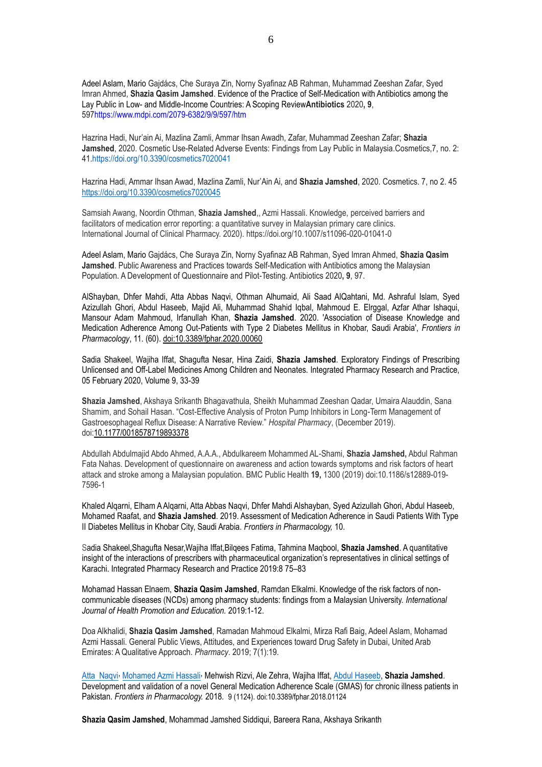Adeel Aslam, Mario Gajdács, Che Suraya Zin, Norny Syafinaz AB Rahman, Muhammad Zeeshan Zafar, Syed Imran Ahmed, **Shazia Qasim Jamshed**. Evidence of the Practice of Self-Medication with Antibiotics among the Lay Public in Low- and Middle-Income Countries: A Scoping Review**Antibiotics** 2020**, 9**, 597https://www.mdpi.com/2079-6382/9/9/597/htm

Hazrina Hadi, Nur'ain Ai, Mazlina Zamli, Ammar Ihsan Awadh, Zafar, Muhammad Zeeshan Zafar; **Shazia Jamshed**, 2020. Cosmetic Use-Related Adverse Events: Findings from Lay Public in Malaysia.Cosmetics,7, no. 2: 4[1.https://doi.org/10.3390/cosmetics7020041](https://doi.org/10.3390/cosmetics7020041)

Hazrina Hadi, Ammar Ihsan Awad, Mazlina Zamli, Nur'Ain Ai, and **Shazia Jamshed**, 2020. Cosmetics. 7, no 2. 45 <https://doi.org/10.3390/cosmetics7020045>

Samsiah Awang, Noordin Othman, **Shazia Jamshed**,, Azmi Hassali. Knowledge, perceived barriers and facilitators of medication error reporting: a quantitative survey in Malaysian primary care clinics. International Journal of Clinical Pharmacy. 2020). https://doi.org/10.1007/s11096-020-01041-0

Adeel Aslam, Mario Gajdács, Che Suraya Zin, Norny Syafinaz AB Rahman, Syed Imran Ahmed, **Shazia Qasim Jamshed**. Public Awareness and Practices towards Self-Medication with Antibiotics among the Malaysian Population. A Development of Questionnaire and Pilot-Testing. Antibiotics 2020**, 9**, 97.

AlShayban, Dhfer Mahdi, Atta Abbas Naqvi, Othman Alhumaid, Ali Saad AlQahtani, Md. Ashraful Islam, Syed Azizullah Ghori, Abdul Haseeb, Majid Ali, Muhammad Shahid Iqbal, Mahmoud E. Elrggal, Azfar Athar Ishaqui, Mansour Adam Mahmoud, Irfanullah Khan, **Shazia Jamshed**. 2020. 'Association of Disease Knowledge and Medication Adherence Among Out-Patients with Type 2 Diabetes Mellitus in Khobar, Saudi Arabia', *Frontiers in Pharmacology*, 11. (60). doi:10.3389/fphar.2020.00060

Sadia Shakeel, Wajiha Iffat, Shagufta Nesar, Hina Zaidi, **Shazia Jamshed**. Exploratory Findings of Prescribing Unlicensed and Off-Label Medicines Among Children and Neonates. Integrated Pharmacy Research and Practice, 05 February 2020, Volume 9, 33-39

**Shazia Jamshed**, Akshaya Srikanth Bhagavathula, Sheikh Muhammad Zeeshan Qadar, Umaira Alauddin, Sana Shamim, and Sohail Hasan. "Cost-Effective Analysis of Proton Pump Inhibitors in Long-Term Management of Gastroesophageal Reflux Disease: A Narrative Review." *Hospital Pharmacy*, (December 2019). doi[:10.1177/0018578719893378](https://doi.org/10.1177/0018578719893378)

Abdullah Abdulmajid Abdo Ahmed, A.A.A., Abdulkareem Mohammed AL-Shami, **Shazia Jamshed,** Abdul Rahman Fata Nahas. Development of questionnaire on awareness and action towards symptoms and risk factors of heart attack and stroke among a Malaysian population. BMC Public Health **19,** 1300 (2019) doi:10.1186/s12889-019- 7596-1

Khaled Alqarni, Elham A Alqarni, Atta Abbas Naqvi, Dhfer Mahdi Alshayban, Syed Azizullah Ghori, Abdul Haseeb, Mohamed Raafat, and **Shazia Jamshed**. 2019. Assessment of Medication Adherence in Saudi Patients With Type II Diabetes Mellitus in Khobar City, Saudi Arabia. *Frontiers in Pharmacology,* 10.

Sadia Shakeel,Shagufta Nesar,Wajiha Iffat,Bilqees Fatima, Tahmina Maqbool, **Shazia Jamshed**. A quantitative insight of the interactions of prescribers with pharmaceutical organization's representatives in clinical settings of Karachi. Integrated Pharmacy Research and Practice 2019:8 75–83

Mohamad Hassan Elnaem, **Shazia Qasim Jamshed**, Ramdan Elkalmi. Knowledge of the risk factors of noncommunicable diseases (NCDs) among pharmacy students: findings from a Malaysian University. *International Journal of Health Promotion and Education.* 2019:1-12.

Doa Alkhalidi, **Shazia Qasim Jamshed**, Ramadan Mahmoud Elkalmi, Mirza Rafi Baig, Adeel Aslam, Mohamad Azmi Hassali. General Public Views, Attitudes, and Experiences toward Drug Safety in Dubai, United Arab Emirates: A Qualitative Approach. *Pharmacy*. 2019; 7(1):19.

[Atta Naqvi,](https://loop.frontiersin.org/people/511048/overview) [Mohamed Azmi Hassali,](https://loop.frontiersin.org/people/484960/overview) Mehwish Rizvi, Ale Zehra, Wajiha Iffat, [Abdul Haseeb,](https://loop.frontiersin.org/people/613892/overview) **Shazia Jamshed**. Development and validation of a novel General Medication Adherence Scale (GMAS) for chronic illness patients in Pakistan. *Frontiers in Pharmacology.* 2018*.* 9 (1124). doi:10.3389/fphar.2018.01124

**Shazia Qasim Jamshed**, Mohammad Jamshed Siddiqui, Bareera Rana, Akshaya Srikanth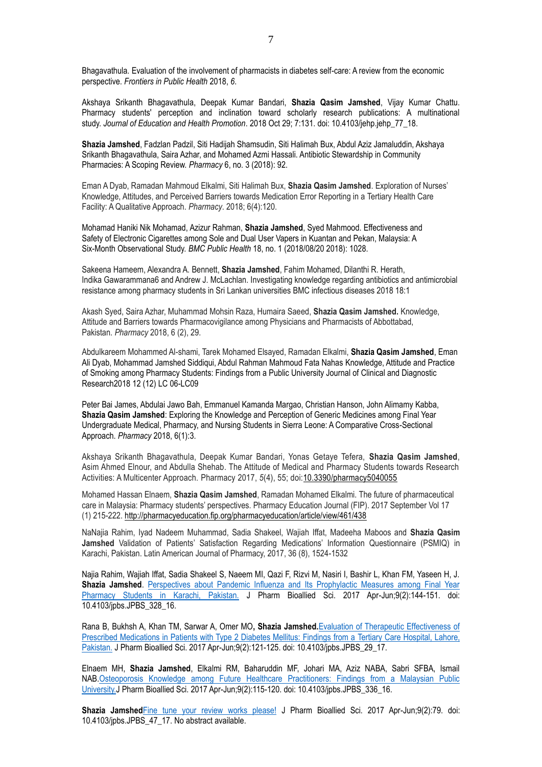Bhagavathula. Evaluation of the involvement of pharmacists in diabetes self-care: A review from the economic perspective. *Frontiers in Public Health* 2018, *6*.

Akshaya Srikanth Bhagavathula, Deepak Kumar Bandari, **Shazia Qasim Jamshed**, Vijay Kumar Chattu. Pharmacy students' perception and inclination toward scholarly research publications: A multinational study. *Journal of Education and Health Promotion*. 2018 Oct 29; 7:131. doi: 10.4103/jehp.jehp\_77\_18.

**Shazia Jamshed**, Fadzlan Padzil, Siti Hadijah Shamsudin, Siti Halimah Bux, Abdul Aziz Jamaluddin, Akshaya Srikanth Bhagavathula, Saira Azhar, and Mohamed Azmi Hassali. Antibiotic Stewardship in Community Pharmacies: A Scoping Review. *Pharmacy* 6, no. 3 (2018): 92.

Eman A Dyab, Ramadan Mahmoud Elkalmi, Siti Halimah Bux, **Shazia Qasim Jamshed**. Exploration of Nurses' Knowledge, Attitudes, and Perceived Barriers towards Medication Error Reporting in a Tertiary Health Care Facility: A Qualitative Approach. *Pharmacy*. 2018; 6(4):120.

Mohamad Haniki Nik Mohamad, Azizur Rahman, **Shazia Jamshed**, Syed Mahmood. Effectiveness and Safety of Electronic Cigarettes among Sole and Dual User Vapers in Kuantan and Pekan, Malaysia: A Six-Month Observational Study. *BMC Public Health* 18, no. 1 (2018/08/20 2018): 1028.

Sakeena Hameem, Alexandra A. Bennett, **Shazia Jamshed**, Fahim Mohamed, Dilanthi R. Herath, Indika Gawarammana6 and Andrew J. McLachlan. Investigating knowledge regarding antibiotics and antimicrobial resistance among pharmacy students in Sri Lankan universities BMC infectious diseases 2018 18:1

Akash Syed, Saira Azhar, Muhammad Mohsin Raza, Humaira Saeed, **Shazia Qasim Jamshed.** Knowledge, Attitude and Barriers towards Pharmacovigilance among Physicians and Pharmacists of Abbottabad, Pakistan. *Pharmacy* 2018, 6 (2), 29.

Abdulkareem Mohammed Al-shami, Tarek Mohamed Elsayed, Ramadan Elkalmi, **Shazia Qasim Jamshed**, Eman Ali Dyab, Mohammad Jamshed Siddiqui, Abdul Rahman Mahmoud Fata Nahas Knowledge, Attitude and Practice of Smoking among Pharmacy Students: Findings from a Public University Journal of Clinical and Diagnostic Research2018 12 (12) LC 06-LC09

Peter Bai James, Abdulai Jawo Bah, Emmanuel Kamanda Margao, Christian Hanson, John Alimamy Kabba, **Shazia Qasim Jamshed**: Exploring the Knowledge and Perception of Generic Medicines among Final Year Undergraduate Medical, Pharmacy, and Nursing Students in Sierra Leone: A Comparative Cross-Sectional Approach. *Pharmacy* 2018, 6(1):3.

Akshaya Srikanth Bhagavathula, Deepak Kumar Bandari, Yonas Getaye Tefera, **Shazia Qasim Jamshed**, Asim Ahmed Elnour, and Abdulla Shehab. The Attitude of Medical and Pharmacy Students towards Research Activities: A Multicenter Approach. Pharmacy 2017, *5*(4), 55; doi[:10.3390/pharmacy5040055](http://dx.doi.org/10.3390/pharmacy5040055)

Mohamed Hassan Elnaem, **Shazia Qasim Jamshed**, Ramadan Mohamed Elkalmi. The future of pharmaceutical care in Malaysia: Pharmacy students' perspectives. Pharmacy Education Journal (FIP). 2017 September Vol 17 (1) 215-222.<http://pharmacyeducation.fip.org/pharmacyeducation/article/view/461/438>

NaNajia Rahim, Iyad Nadeem Muhammad, Sadia Shakeel, Wajiah Iffat, Madeeha Maboos and **Shazia Qasim Jamshed** Validation of Patients' Satisfaction Regarding Medications' Information Questionnaire (PSMIQ) in Karachi, Pakistan. Latin American Journal of Pharmacy, 2017, 36 (8), 1524-1532

Najia Rahim, Wajiah Iffat, Sadia Shakeel S, Naeem MI, Qazi F, Rizvi M, Nasiri I, Bashir L, Khan FM, Yaseen H, J. **Shazia Jamshed**. [Perspectives about Pandemic Influenza and Its Prophylactic Measures among Final Year](https://www.ncbi.nlm.nih.gov/pubmed/28717338)  [Pharmacy Students in Karachi, Pakistan.](https://www.ncbi.nlm.nih.gov/pubmed/28717338) J Pharm Bioallied Sci. 2017 Apr-Jun;9(2):144-151. doi: 10.4103/jpbs.JPBS\_328\_16.

Rana B, Bukhsh A, Khan TM, Sarwar A, Omer MO**, Shazia Jamshed.**[Evaluation of Therapeutic Effectiveness of](https://www.ncbi.nlm.nih.gov/pubmed/28717335)  [Prescribed Medications in Patients with Type 2 Diabetes Mellitus: Findings from a Tertiary Care Hospital, Lahore,](https://www.ncbi.nlm.nih.gov/pubmed/28717335)  [Pakistan.](https://www.ncbi.nlm.nih.gov/pubmed/28717335) J Pharm Bioallied Sci. 2017 Apr-Jun;9(2):121-125. doi: 10.4103/jpbs.JPBS\_29\_17.

Elnaem MH, **Shazia Jamshed**, Elkalmi RM, Baharuddin MF, Johari MA, Aziz NABA, Sabri SFBA, Ismail NAB[.Osteoporosis Knowledge among Future Healthcare Practitioners: Findings from a Malaysian Public](https://www.ncbi.nlm.nih.gov/pubmed/28717334)  [University.J](https://www.ncbi.nlm.nih.gov/pubmed/28717334) Pharm Bioallied Sci. 2017 Apr-Jun;9(2):115-120. doi: 10.4103/jpbs.JPBS\_336\_16.

**Shazia Jamshed**[Fine tune your review works please!](https://www.ncbi.nlm.nih.gov/pubmed/28717328) J Pharm Bioallied Sci. 2017 Apr-Jun;9(2):79. doi: 10.4103/jpbs.JPBS\_47\_17. No abstract available.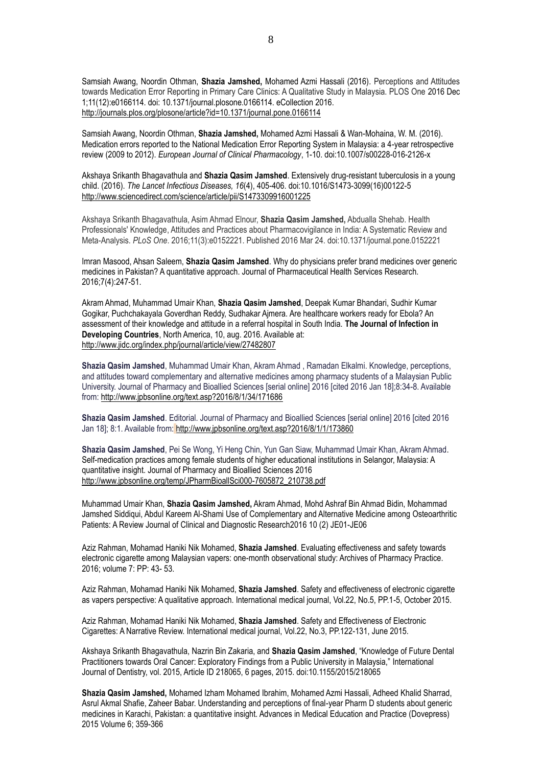Samsiah Awang, Noordin Othman, **Shazia Jamshed,** Mohamed Azmi Hassali (2016). Perceptions and Attitudes towards Medication Error Reporting in Primary Care Clinics: A Qualitative Study in Malaysia. PLOS One 2016 Dec 1;11(12):e0166114. doi: 10.1371/journal.plosone.0166114. eCollection 2016. <http://journals.plos.org/plosone/article?id=10.1371/journal.pone.0166114>

Samsiah Awang, Noordin Othman, **Shazia Jamshed,** Mohamed Azmi Hassali & Wan-Mohaina, W. M. (2016). Medication errors reported to the National Medication Error Reporting System in Malaysia: a 4-year retrospective review (2009 to 2012). *European Journal of Clinical Pharmacology*, 1-10. doi:10.1007/s00228-016-2126-x

Akshaya Srikanth Bhagavathula and **Shazia Qasim Jamshed**. Extensively drug-resistant tuberculosis in a young child. (2016). *The Lancet Infectious Diseases, 16*(4), 405-406. doi:10.1016/S1473-3099(16)00122-5 <http://www.sciencedirect.com/science/article/pii/S1473309916001225>

Akshaya Srikanth Bhagavathula, Asim Ahmad Elnour, **Shazia Qasim Jamshed,** Abdualla Shehab. Health Professionals' Knowledge, Attitudes and Practices about Pharmacovigilance in India: A Systematic Review and Meta-Analysis. *PLoS One*. 2016;11(3):e0152221. Published 2016 Mar 24. doi:10.1371/journal.pone.0152221

Imran Masood, Ahsan Saleem, **Shazia Qasim Jamshed**. Why do physicians prefer brand medicines over generic medicines in Pakistan? A quantitative approach. Journal of Pharmaceutical Health Services Research. 2016;7(4):247-51.

Akram Ahmad, Muhammad Umair Khan, **Shazia Qasim Jamshed**, Deepak Kumar Bhandari, Sudhir Kumar Gogikar, Puchchakayala Goverdhan Reddy, Sudhakar Ajmera. Are healthcare workers ready for Ebola? An assessment of their knowledge and attitude in a referral hospital in South India. **The Journal of Infection in Developing Countries**, North America, 10, aug. 2016. Available at: <http://www.jidc.org/index.php/journal/article/view/27482807>

**Shazia Qasim Jamshed**, Muhammad Umair Khan, Akram Ahmad , Ramadan Elkalmi. Knowledge, perceptions, and attitudes toward complementary and alternative medicines among pharmacy students of a Malaysian Public University. Journal of Pharmacy and Bioallied Sciences [serial online] 2016 [cited 2016 Jan 18];8:34-8. Available from: <http://www.jpbsonline.org/text.asp?2016/8/1/34/171686>

**Shazia Qasim Jamshed**. Editorial. Journal of Pharmacy and Bioallied Sciences [serial online] 2016 [cited 2016 Jan 18]; 8:1. Available from: <http://www.jpbsonline.org/text.asp?2016/8/1/1/173860>

**Shazia Qasim Jamshed**, Pei Se Wong, Yi Heng Chin, Yun Gan Siaw, Muhammad Umair Khan, Akram Ahmad. Self-medication practices among female students of higher educational institutions in Selangor, Malaysia: A quantitative insight. Journal of Pharmacy and Bioallied Sciences 2016 [http://www.jpbsonline.org/temp/JPharmBioallSci000-7605872\\_210738.pdf](http://www.jpbsonline.org/temp/JPharmBioallSci000-7605872_210738.pdf)

Muhammad Umair Khan, **Shazia Qasim Jamshed,** Akram Ahmad, Mohd Ashraf Bin Ahmad Bidin, Mohammad Jamshed Siddiqui, Abdul Kareem Al-Shami Use of Complementary and Alternative Medicine among Osteoarthritic Patients: A Review Journal of Clinical and Diagnostic Research2016 10 (2) JE01-JE06

Aziz Rahman, Mohamad Haniki Nik Mohamed, **Shazia Jamshed**. Evaluating effectiveness and safety towards electronic cigarette among Malaysian vapers: one-month observational study: Archives of Pharmacy Practice. 2016; volume 7: PP: 43- 53.

Aziz Rahman, Mohamad Haniki Nik Mohamed, **Shazia Jamshed**. Safety and effectiveness of electronic cigarette as vapers perspective: A qualitative approach. International medical journal, Vol.22, No.5, PP.1-5, October 2015.

Aziz Rahman, Mohamad Haniki Nik Mohamed, **Shazia Jamshed**. Safety and Effectiveness of Electronic Cigarettes: A Narrative Review. International medical journal, Vol.22, No.3, PP.122-131, June 2015.

Akshaya Srikanth Bhagavathula, Nazrin Bin Zakaria, and **Shazia Qasim Jamshed**, "Knowledge of Future Dental Practitioners towards Oral Cancer: Exploratory Findings from a Public University in Malaysia," International Journal of Dentistry, vol. 2015, Article ID 218065, 6 pages, 2015. doi:10.1155/2015/218065

**Shazia Qasim Jamshed,** Mohamed Izham Mohamed Ibrahim, Mohamed Azmi Hassali, Adheed Khalid Sharrad, Asrul Akmal Shafie, Zaheer Babar. Understanding and perceptions of final-year Pharm D students about generic medicines in Karachi, Pakistan: a quantitative insight. Advances in Medical Education and Practice (Dovepress) 2015 Volume 6; 359-366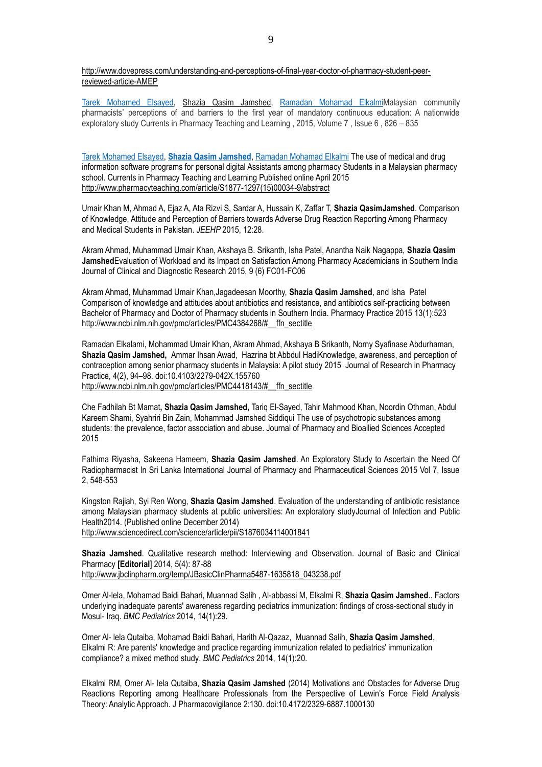[http://www.dovepress.com/understanding-and-perceptions-of-final-year-doctor-of-pharmacy-student-peer](http://www.dovepress.com/understanding-and-perceptions-of-final-year-doctor-of-pharmacy-student-peer-reviewed-article-AMEP)[reviewed-article-AMEP](http://www.dovepress.com/understanding-and-perceptions-of-final-year-doctor-of-pharmacy-student-peer-reviewed-article-AMEP)

[Tarek Mohamed Elsayed,](javascript:void(0);) [Shazia Qasim Jamshed,](javascript:void(0);) [Ramadan Mohamad ElkalmiM](javascript:void(0);)alaysian community pharmacists' perceptions of and barriers to the first year of mandatory continuous education: A nationwide exploratory study Currents in Pharmacy Teaching and Learning , 2015, Volume 7 , Issue 6 , 826 – 835

[Tarek Mohamed Elsayed,](javascript:void(0);) **[Shazia Qasim Jamshed](javascript:void(0);)**[, Ramadan Mohamad Elkalmi](javascript:void(0);) The use of medical and drug information software programs for personal digital Assistants among pharmacy Students in a Malaysian pharmacy school. Currents in Pharmacy Teaching and Learning Published online April 2015 [http://www.pharmacyteaching.com/article/S1877-1297\(15\)00034-9/abstract](http://www.pharmacyteaching.com/article/S1877-1297(15)00034-9/abstract)

Umair Khan M, Ahmad A, Ejaz A, Ata Rizvi S, Sardar A, Hussain K, Zaffar T, **Shazia QasimJamshed**. Comparison of Knowledge, Attitude and Perception of Barriers towards Adverse Drug Reaction Reporting Among Pharmacy and Medical Students in Pakistan. *JEEHP* 2015, 12:28.

Akram Ahmad, Muhammad Umair Khan, Akshaya B. Srikanth, Isha Patel, Anantha Naik Nagappa, **Shazia Qasim Jamshed**Evaluation of Workload and its Impact on Satisfaction Among Pharmacy Academicians in Southern India Journal of Clinical and Diagnostic Research 2015, 9 (6) FC01-FC06

Akram Ahmad, Muhammad Umair Khan,Jagadeesan Moorthy, **Shazia Qasim Jamshed**, and Isha Patel Comparison of knowledge and attitudes about antibiotics and resistance, and antibiotics self-practicing between Bachelor of Pharmacy and Doctor of Pharmacy students in Southern India. Pharmacy Practice 2015 13(1):523 [http://www.ncbi.nlm.nih.gov/pmc/articles/PMC4384268/#\\_\\_ffn\\_sectitle](http://www.ncbi.nlm.nih.gov/pmc/articles/PMC4384268/#_blank)

Ramadan Elkalami, Mohammad Umair Khan, Akram Ahmad, Akshaya B Srikanth, Norny Syafinase Abdurhaman, **Shazia Qasim Jamshed,** Ammar Ihsan Awad, Hazrina bt Abbdul HadiKnowledge, awareness, and perception of contraception among senior pharmacy students in Malaysia: A pilot study 2015 Journal of Research in Pharmacy Practice, 4(2), 94–98. doi:10.4103/2279-042X.155760 [http://www.ncbi.nlm.nih.gov/pmc/articles/PMC4418143/#\\_\\_ffn\\_sectitle](http://www.ncbi.nlm.nih.gov/pmc/articles/PMC4418143/#_blank)

Che Fadhilah Bt Mamat**, Shazia Qasim Jamshed,** Tariq El-Sayed, Tahir Mahmood Khan, Noordin Othman, Abdul Kareem Shami, Syahriri Bin Zain, Mohammad Jamshed Siddiqui The use of psychotropic substances among students: the prevalence, factor association and abuse. Journal of Pharmacy and Bioallied Sciences Accepted 2015

Fathima Riyasha, Sakeena Hameem, **Shazia Qasim Jamshed**. An Exploratory Study to Ascertain the Need Of Radiopharmacist In Sri Lanka International Journal of Pharmacy and Pharmaceutical Sciences 2015 Vol 7, Issue 2, 548-553

Kingston Rajiah, Syi Ren Wong, **Shazia Qasim Jamshed**. Evaluation of the understanding of antibiotic resistance among Malaysian pharmacy students at public universities: An exploratory studyJournal of Infection and Public Health2014. (Published online December 2014) <http://www.sciencedirect.com/science/article/pii/S1876034114001841>

**Shazia Jamshed**. Qualitative research method: Interviewing and Observation. Journal of Basic and Clinical Pharmacy **[Editorial**] 2014, 5(4): 87-88

[http://www.jbclinpharm.org/temp/JBasicClinPharma5487-1635818\\_043238.pdf](http://www.jbclinpharm.org/temp/JBasicClinPharma5487-1635818_043238.pdf)

Omer Al-lela, Mohamad Baidi Bahari, Muannad Salih , Al-abbassi M, Elkalmi R, **Shazia Qasim Jamshed**.. Factors underlying inadequate parents' awareness regarding pediatrics immunization: findings of cross-sectional study in Mosul- Iraq. *BMC Pediatrics* 2014, 14(1):29.

Omer Al- lela Qutaiba, Mohamad Baidi Bahari, Harith Al-Qazaz, Muannad Salih, **Shazia Qasim Jamshed**, Elkalmi R: Are parents' knowledge and practice regarding immunization related to pediatrics' immunization compliance? a mixed method study. *BMC Pediatrics* 2014, 14(1):20.

Elkalmi RM, Omer Al- lela Qutaiba, **Shazia Qasim Jamshed** (2014) Motivations and Obstacles for Adverse Drug Reactions Reporting among Healthcare Professionals from the Perspective of Lewin's Force Field Analysis Theory: Analytic Approach. J Pharmacovigilance 2:130. doi:10.4172/2329-6887.1000130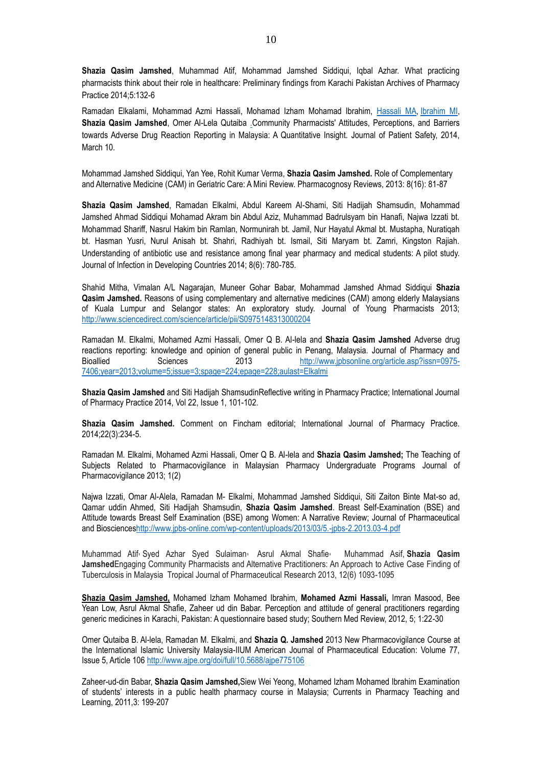**Shazia Qasim Jamshed**, Muhammad Atif, Mohammad Jamshed Siddiqui, Iqbal Azhar. What practicing pharmacists think about their role in healthcare: Preliminary findings from Karachi Pakistan Archives of Pharmacy Practice 2014;5:132-6

Ramadan Elkalami, Mohammad Azmi Hassali, Mohamad Izham Mohamad Ibrahim, Hassali MA, Ibrahim MI, **Shazia Qasim Jamshed**, Omer Al-Lela Qutaiba .Community Pharmacists' Attitudes, Perceptions, and Barriers towards Adverse Drug Reaction Reporting in Malaysia: A Quantitative Insight. Journal of Patient Safety, 2014, March 10.

Mohammad Jamshed Siddiqui, Yan Yee, Rohit Kumar Verma, **Shazia Qasim Jamshed.** Role of Complementary and Alternative Medicine (CAM) in Geriatric Care: A Mini Review. Pharmacognosy Reviews, 2013: 8(16): 81-87

**Shazia Qasim Jamshed**, Ramadan Elkalmi, Abdul Kareem Al-Shami, Siti Hadijah Shamsudin, Mohammad Jamshed Ahmad Siddiqui Mohamad Akram bin Abdul Aziz, Muhammad Badrulsyam bin Hanafi, Najwa Izzati bt. Mohammad Shariff, Nasrul Hakim bin Ramlan, Normunirah bt. Jamil, Nur Hayatul Akmal bt. Mustapha, Nuratiqah bt. Hasman Yusri, Nurul Anisah bt. Shahri, Radhiyah bt. Ismail, Siti Maryam bt. Zamri, Kingston Rajiah. Understanding of antibiotic use and resistance among final year pharmacy and medical students: A pilot study. Journal of Infection in Developing Countries 2014; 8(6): 780-785.

Shahid Mitha, Vimalan A/L Nagarajan, Muneer Gohar Babar, Mohammad Jamshed Ahmad Siddiqui **Shazia Qasim Jamshed.** Reasons of using complementary and alternative medicines (CAM) among elderly Malaysians of Kuala Lumpur and Selangor states: An exploratory study. Journal of Young Pharmacists 2013; <http://www.sciencedirect.com/science/article/pii/S0975148313000204>

Ramadan M. Elkalmi, Mohamed Azmi Hassali, Omer Q B. Al-lela and **Shazia Qasim Jamshed** Adverse drug reactions reporting: knowledge and opinion of general public in Penang, Malaysia. Journal of Pharmacy and Bioallied Sciences 2013 [http://www.jpbsonline.org/article.asp?issn=0975-](http://www.jpbsonline.org/article.asp?issn=0975-7406;year=2013;volume=5;issue=3;spage=224;epage=228;aulast=Elkalmi) [7406;year=2013;volume=5;issue=3;spage=224;epage=228;aulast=Elkalmi](http://www.jpbsonline.org/article.asp?issn=0975-7406;year=2013;volume=5;issue=3;spage=224;epage=228;aulast=Elkalmi)

**Shazia Qasim Jamshed** and Siti Hadijah ShamsudinReflective writing in Pharmacy Practice; International Journal of Pharmacy Practice 2014, Vol 22, Issue 1, 101-102.

**Shazia Qasim Jamshed.** Comment on Fincham editorial; International Journal of Pharmacy Practice. 2014;22(3):234-5.

Ramadan M. Elkalmi, Mohamed Azmi Hassali, Omer Q B. Al-lela and **Shazia Qasim Jamshed;** The Teaching of Subjects Related to Pharmacovigilance in Malaysian Pharmacy Undergraduate Programs Journal of Pharmacovigilance 2013; 1(2)

Najwa Izzati, Omar Al-Alela, Ramadan M- Elkalmi, Mohammad Jamshed Siddiqui, Siti Zaiton Binte Mat-so ad, Qamar uddin Ahmed, Siti Hadijah Shamsudin, **Shazia Qasim Jamshed**. Breast Self-Examination (BSE) and Attitude towards Breast Self Examination (BSE) among Women: A Narrative Review; Journal of Pharmaceutical and Bioscience[shttp://www.jpbs-online.com/wp-content/uploads/2013/03/5.-jpbs-2.2013.03-4.pdf](http://www.jpbs-online.com/wp-content/uploads/2013/03/5.-jpbs-2.2013.03-4.pdf)

Muhammad Atif , Syed Azhar Syed Sulaiman, Asrul Akmal Shafie, Muhammad Asif, **Shazia Qasim Jamshed**Engaging Community Pharmacists and Alternative Practitioners: An Approach to Active Case Finding of Tuberculosis in Malaysia Tropical Journal of Pharmaceutical Research 2013, 12(6) 1093-1095

**Shazia Qasim Jamshed,** Mohamed Izham Mohamed Ibrahim, **Mohamed Azmi Hassali,** Imran Masood, Bee Yean Low, Asrul Akmal Shafie, Zaheer ud din Babar. Perception and attitude of general practitioners regarding generic medicines in Karachi, Pakistan: A questionnaire based study; Southern Med Review, 2012, 5; 1:22-30

Omer Qutaiba B. Al-lela, Ramadan M. Elkalmi, and **Shazia Q. Jamshed** 2013 New Pharmacovigilance Course at the International Islamic University Malaysia-IIUM American Journal of Pharmaceutical Education: Volume 77, Issue 5, Article 10[6 http://www.ajpe.org/doi/full/10.5688/ajpe775106](http://www.ajpe.org/doi/full/10.5688/ajpe775106)

Zaheer-ud-din Babar, **Shazia Qasim Jamshed,**Siew Wei Yeong, Mohamed Izham Mohamed Ibrahim Examination of students' interests in a public health pharmacy course in Malaysia; Currents in Pharmacy Teaching and Learning, 2011,3: 199-207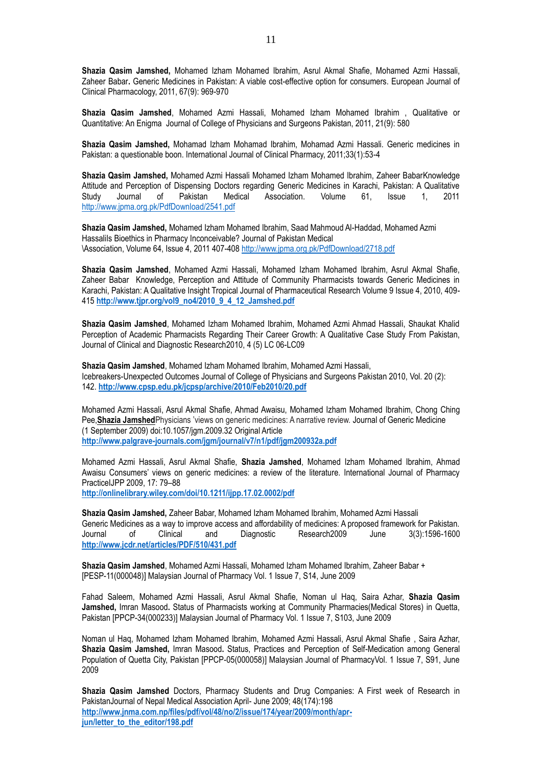**Shazia Qasim Jamshed,** Mohamed Izham Mohamed Ibrahim, Asrul Akmal Shafie, Mohamed Azmi Hassali, Zaheer Babar**.** Generic Medicines in Pakistan: A viable cost-effective option for consumers. European Journal of Clinical Pharmacology, 2011, 67(9): 969-970

**Shazia Qasim Jamshed**, Mohamed Azmi Hassali, Mohamed Izham Mohamed Ibrahim , Qualitative or Quantitative: An Enigma Journal of College of Physicians and Surgeons Pakistan, 2011, 21(9): 580

**Shazia Qasim Jamshed,** Mohamad Izham Mohamad Ibrahim, Mohamad Azmi Hassali. Generic medicines in Pakistan: a questionable boon. International Journal of Clinical Pharmacy, 2011;33(1):53-4

**Shazia Qasim Jamshed,** Mohamed Azmi Hassali Mohamed Izham Mohamed Ibrahim, Zaheer BabarKnowledge Attitude and Perception of Dispensing Doctors regarding Generic Medicines in Karachi, Pakistan: A Qualitative Study Journal of Pakistan Medical Association. Volume 61, Issue 1, 2011 <http://www.jpma.org.pk/PdfDownload/2541.pdf>

**Shazia Qasim Jamshed,** Mohamed Izham Mohamed Ibrahim, Saad Mahmoud Al-Haddad, Mohamed Azmi Hassalils Bioethics in Pharmacy Inconceivable? Journal of Pakistan Medical \Association, Volume 64, Issue 4, 2011 407-40[8 http://www.jpma.org.pk/PdfDownload/2718.pdf](http://www.jpma.org.pk/PdfDownload/2718.pdf)

**Shazia Qasim Jamshed**, Mohamed Azmi Hassali, Mohamed Izham Mohamed Ibrahim, Asrul Akmal Shafie, Zaheer Babar Knowledge, Perception and Attitude of Community Pharmacists towards Generic Medicines in Karachi, Pakistan: A Qualitative Insight Tropical Journal of Pharmaceutical Research Volume 9 Issue 4, 2010, 409- 415 **[http://www.tjpr.org/vol9\\_no4/2010\\_9\\_4\\_12\\_Jamshed.pdf](http://www.tjpr.org/vol9_no4/2010_9_4_12_Jamshed.pdf)**

**Shazia Qasim Jamshed**, Mohamed Izham Mohamed Ibrahim, Mohamed Azmi Ahmad Hassali, Shaukat Khalid Perception of Academic Pharmacists Regarding Their Career Growth: A Qualitative Case Study From Pakistan, Journal of Clinical and Diagnostic Research2010, 4 (5) LC 06-LC09

**Shazia Qasim Jamshed**, Mohamed Izham Mohamed Ibrahim, Mohamed Azmi Hassali, Icebreakers-Unexpected Outcomes Journal of College of Physicians and Surgeons Pakistan 2010, Vol. 20 (2): 142. **<http://www.cpsp.edu.pk/jcpsp/archive/2010/Feb2010/20.pdf>**

Mohamed Azmi Hassali, Asrul Akmal Shafie, Ahmad Awaisu, Mohamed Izham Mohamed Ibrahim, Chong Ching Pee,**Shazia Jamshed**Physicians 'views on generic medicines: A narrative review. Journal of Generic Medicine (1 September 2009) doi:10.1057/jgm.2009.32 Original Article **<http://www.palgrave-journals.com/jgm/journal/v7/n1/pdf/jgm200932a.pdf>**

Mohamed Azmi Hassali, Asrul Akmal Shafie, **Shazia Jamshed**, Mohamed Izham Mohamed Ibrahim, Ahmad Awaisu Consumers' views on generic medicines: a review of the literature. International Journal of Pharmacy PracticeIJPP 2009, 17: 79–88 **<http://onlinelibrary.wiley.com/doi/10.1211/ijpp.17.02.0002/pdf>**

**Shazia Qasim Jamshed,** Zaheer Babar, Mohamed Izham Mohamed Ibrahim, Mohamed Azmi Hassali Generic Medicines as a way to improve access and affordability of medicines: A proposed framework for Pakistan. Journal of Clinical and Diagnostic Research2009 June 3(3):1596-1600 **<http://www.jcdr.net/articles/PDF/510/431.pdf>**

**Shazia Qasim Jamshed**, Mohamed Azmi Hassali, Mohamed Izham Mohamed Ibrahim, Zaheer Babar + [PESP-11(000048)] Malaysian Journal of Pharmacy Vol. 1 Issue 7, S14, June 2009

Fahad Saleem, Mohamed Azmi Hassali, Asrul Akmal Shafie, Noman ul Haq, Saira Azhar, **Shazia Qasim Jamshed,** Imran Masood**.** Status of Pharmacists working at Community Pharmacies(Medical Stores) in Quetta, Pakistan [PPCP-34(000233)] Malaysian Journal of Pharmacy Vol. 1 Issue 7, S103, June 2009

Noman ul Haq, Mohamed Izham Mohamed Ibrahim, Mohamed Azmi Hassali, Asrul Akmal Shafie , Saira Azhar, **Shazia Qasim Jamshed,** Imran Masood**.** Status, Practices and Perception of Self-Medication among General Population of Quetta City, Pakistan [PPCP-05(000058)] Malaysian Journal of PharmacyVol. 1 Issue 7, S91, June 2009

**Shazia Qasim Jamshed** Doctors, Pharmacy Students and Drug Companies: A First week of Research in PakistanJournal of Nepal Medical Association April- June 2009; 48(174):198 **[http://www.jnma.com.np/files/pdf/vol/48/no/2/issue/174/year/2009/month/apr](http://www.jnma.com.np/files/pdf/vol/48/no/2/issue/174/year/2009/month/apr-jun/letter_to_the_editor/198.pdf)[jun/letter\\_to\\_the\\_editor/198.pdf](http://www.jnma.com.np/files/pdf/vol/48/no/2/issue/174/year/2009/month/apr-jun/letter_to_the_editor/198.pdf)**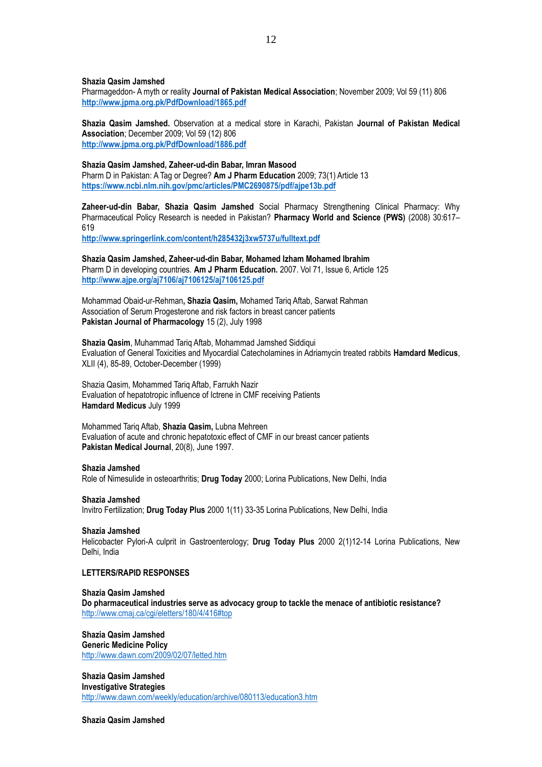#### **Shazia Qasim Jamshed**

Pharmageddon- A myth or reality **Journal of Pakistan Medical Association**; November 2009; Vol 59 (11) 806 **<http://www.jpma.org.pk/PdfDownload/1865.pdf>**

**Shazia Qasim Jamshed.** Observation at a medical store in Karachi, Pakistan **Journal of Pakistan Medical Association**; December 2009; Vol 59 (12) 806 **<http://www.jpma.org.pk/PdfDownload/1886.pdf>**

#### **Shazia Qasim Jamshed, Zaheer-ud-din Babar, Imran Masood**

Pharm D in Pakistan: A Tag or Degree? **Am J Pharm Education** 2009; 73(1) Article 13 **<https://www.ncbi.nlm.nih.gov/pmc/articles/PMC2690875/pdf/ajpe13b.pdf>**

**Zaheer-ud-din Babar, Shazia Qasim Jamshed** Social Pharmacy Strengthening Clinical Pharmacy: Why Pharmaceutical Policy Research is needed in Pakistan? **Pharmacy World and Science (PWS)** (2008) 30:617– 619

**<http://www.springerlink.com/content/h285432j3xw5737u/fulltext.pdf>**

**Shazia Qasim Jamshed, Zaheer-ud-din Babar, Mohamed Izham Mohamed Ibrahim** Pharm D in developing countries. **Am J Pharm Education.** 2007. Vol 71, Issue 6, Article 125 **<http://www.ajpe.org/aj7106/aj7106125/aj7106125.pdf>**

Mohammad Obaid-ur-Rehman**, Shazia Qasim,** Mohamed Tariq Aftab, Sarwat Rahman Association of Serum Progesterone and risk factors in breast cancer patients **Pakistan Journal of Pharmacology** 15 (2), July 1998

**Shazia Qasim**, Muhammad Tariq Aftab, Mohammad Jamshed Siddiqui Evaluation of General Toxicities and Myocardial Catecholamines in Adriamycin treated rabbits **Hamdard Medicus**, XLII (4), 85-89, October-December (1999)

Shazia Qasim, Mohammed Tariq Aftab, Farrukh Nazir Evaluation of hepatotropic influence of Ictrene in CMF receiving Patients **Hamdard Medicus** July 1999

Mohammed Tariq Aftab, **Shazia Qasim,** Lubna Mehreen Evaluation of acute and chronic hepatotoxic effect of CMF in our breast cancer patients **Pakistan Medical Journal**, 20(8), June 1997.

#### **Shazia Jamshed**

Role of Nimesulide in osteoarthritis; **Drug Today** 2000; Lorina Publications, New Delhi, India

#### **Shazia Jamshed**

Invitro Fertilization; **Drug Today Plus** 2000 1(11) 33-35 Lorina Publications, New Delhi, India

#### **Shazia Jamshed**

Helicobacter Pylori-A culprit in Gastroenterology; **Drug Today Plus** 2000 2(1)12-14 Lorina Publications, New Delhi, India

## **LETTERS/RAPID RESPONSES**

#### **Shazia Qasim Jamshed**

**Do pharmaceutical industries serve as advocacy group to tackle the menace of antibiotic resistance?** [http://www.cmaj.ca/cgi/eletters/180/4/416#top](http://www.cmaj.ca/cgi/eletters/180/4/416#_blank)

# **Shazia Qasim Jamshed**

**Generic Medicine Policy** <http://www.dawn.com/2009/02/07/letted.htm>

#### **Shazia Qasim Jamshed**

**Investigative Strategies** http://www.dawn.com/weekly/education/archive/080113/education3.htm

**Shazia Qasim Jamshed**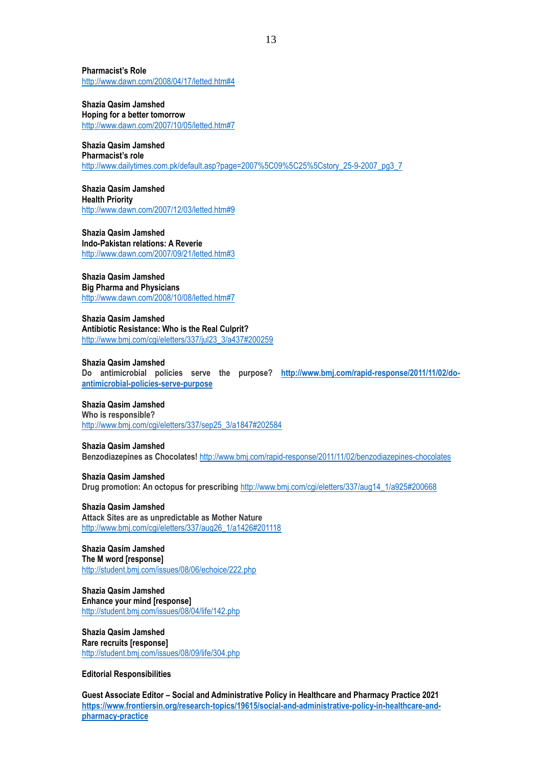**Pharmacist's Role** http://www.dawn.com/2008/04/17/letted.htm#4

**Shazia Qasim Jamshed Hoping for a better tomorrow** [http://www.dawn.com/2007/10/05/letted.htm#7](http://www.dawn.com/2007/10/05/letted.htm#_blank)

**Shazia Qasim Jamshed Pharmacist's role**

[http://www.dailytimes.com.pk/default.asp?page=2007%5C09%5C25%5Cstory\\_25-9-2007\\_pg3\\_7](http://www.dailytimes.com.pk/default.asp?page=2007/09/25/story_25-9-2007_pg3_7)

**Shazia Qasim Jamshed Health Priority** http://www.dawn.com/2007/12/03/letted.htm#9

**Shazia Qasim Jamshed Indo-Pakistan relations: A Reverie** [http://www.dawn.com/2007/09/21/letted.htm#3](http://www.dawn.com/2007/09/21/letted.htm#_blank)

**Shazia Qasim Jamshed Big Pharma and Physicians** [http://www.dawn.com/2008/10/08/letted.htm#7](http://www.dawn.com/2008/10/08/letted.htm#_blank)

**Shazia Qasim Jamshed Antibiotic Resistance: Who is the Real Culprit?** http://www.bmj.com/cgi/eletters/337/jul23\_3/a437#200259

**Shazia Qasim Jamshed Do antimicrobial policies serve the purpose? [http://www.bmj.com/rapid-response/2011/11/02/do-](http://www.bmj.com/rapid-response/2011/11/02/do-antimicrobial-policies-serve-purpose)**

**[antimicrobial-policies-serve-purpose](http://www.bmj.com/rapid-response/2011/11/02/do-antimicrobial-policies-serve-purpose)**

**Shazia Qasim Jamshed Who is responsible?** [http://www.bmj.com/cgi/eletters/337/sep25\\_3/a1847#202584](http://www.bmj.com/cgi/eletters/337/sep25_3/a1847#_blank)

**Shazia Qasim Jamshed Benzodiazepines as Chocolates!** <http://www.bmj.com/rapid-response/2011/11/02/benzodiazepines-chocolates>

**Shazia Qasim Jamshed Drug promotion: An octopus for prescribing** [http://www.bmj.com/cgi/eletters/337/aug14\\_1/a925#200668](http://www.bmj.com/cgi/eletters/337/aug14_1/a925#_blank)

**Shazia Qasim Jamshed Attack Sites are as unpredictable as Mother Nature** [http://www.bmj.com/cgi/eletters/337/aug26\\_1/a1426#201118](http://www.bmj.com/cgi/eletters/337/aug26_1/a1426#_blank)

**Shazia Qasim Jamshed The M word [response]** <http://student.bmj.com/issues/08/06/echoice/222.php>

**Shazia Qasim Jamshed Enhance your mind [response]** <http://student.bmj.com/issues/08/04/life/142.php>

**Shazia Qasim Jamshed Rare recruits [response]** <http://student.bmj.com/issues/08/09/life/304.php>

**Editorial Responsibilities**

**Guest Associate Editor – Social and Administrative Policy in Healthcare and Pharmacy Practice 2021 [https://www.frontiersin.org/research-topics/19615/social-and-administrative-policy-in-healthcare-and](https://www.frontiersin.org/research-topics/19615/social-and-administrative-policy-in-healthcare-and-pharmacy-practice)[pharmacy-practice](https://www.frontiersin.org/research-topics/19615/social-and-administrative-policy-in-healthcare-and-pharmacy-practice)**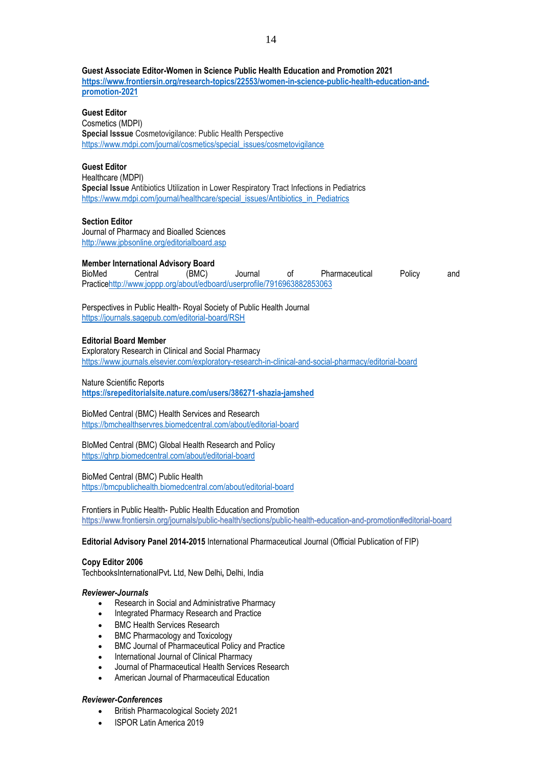**Guest Associate Editor-Women in Science Public Health Education and Promotion 2021 [https://www.frontiersin.org/research-topics/22553/women-in-science-public-health-education-and](https://www.frontiersin.org/research-topics/22553/women-in-science-public-health-education-and-promotion-2021)[promotion-2021](https://www.frontiersin.org/research-topics/22553/women-in-science-public-health-education-and-promotion-2021)**

#### **Guest Editor**

Cosmetics (MDPI) **Special Isssue** Cosmetovigilance: Public Health Perspective [https://www.mdpi.com/journal/cosmetics/special\\_issues/cosmetovigilance](https://www.mdpi.com/journal/cosmetics/special_issues/cosmetovigilance)

# **Guest Editor**

Healthcare (MDPI) **Special Issue** Antibiotics Utilization in Lower Respiratory Tract Infections in Pediatrics [https://www.mdpi.com/journal/healthcare/special\\_issues/Antibiotics\\_in\\_Pediatrics](https://www.mdpi.com/journal/healthcare/special_issues/Antibiotics_in_Pediatrics)

# **Section Editor**

Journal of Pharmacy and Bioalled Sciences <http://www.jpbsonline.org/editorialboard.asp>

## **Member International Advisory Board**

BioMed Central (BMC) Journal of Pharmaceutical Policy and Practic[ehttp://www.joppp.org/about/edboard/userprofile/7916963882853063](http://www.joppp.org/about/edboard/userprofile/7916963882853063)

Perspectives in Public Health- Royal Society of Public Health Journal <https://journals.sagepub.com/editorial-board/RSH>

## **Editorial Board Member**

Exploratory Research in Clinical and Social Pharmacy <https://www.journals.elsevier.com/exploratory-research-in-clinical-and-social-pharmacy/editorial-board>

Nature Scientific Reports

**<https://srepeditorialsite.nature.com/users/386271-shazia-jamshed>**

#### BioMed Central (BMC) Health Services and Research

<https://bmchealthservres.biomedcentral.com/about/editorial-board>

BIoMed Central (BMC) Global Health Research and Policy <https://ghrp.biomedcentral.com/about/editorial-board>

#### BioMed Central (BMC) Public Health

<https://bmcpublichealth.biomedcentral.com/about/editorial-board>

Frontiers in Public Health- Public Health Education and Promotion [https://www.frontiersin.org/journals/public-health/sections/public-health-education-and-promotion#editorial-bo](https://www.frontiersin.org/journals/public-health/sections/public-health-education-and-promotion#_blank)ard

**Editorial Advisory Panel 2014-2015** International Pharmaceutical Journal (Official Publication of FIP)

#### **Copy Editor 2006**

TechbooksInternationalPvt**.** Ltd, New Delhi**,** Delhi, India

#### *Reviewer-Journals*

- Research in Social and Administrative Pharmacy
- Integrated Pharmacy Research and Practice
- **BMC Health Services Research**
- BMC Pharmacology and Toxicology
- BMC Journal of Pharmaceutical Policy and Practice
- International Journal of Clinical Pharmacy
- Journal of Pharmaceutical Health Services Research
- American Journal of Pharmaceutical Education

## *Reviewer-Conferences*

- British Pharmacological Society 2021
- ISPOR Latin America 2019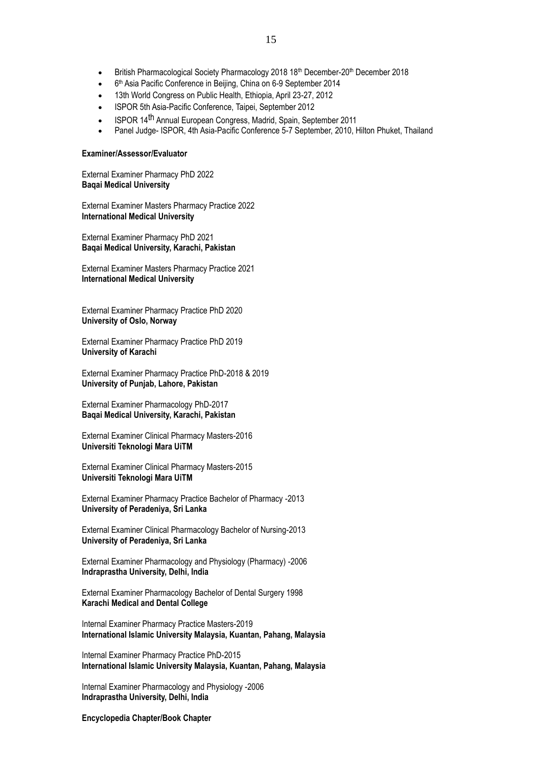- British Pharmacological Society Pharmacology 2018 18<sup>th</sup> December-20<sup>th</sup> December 2018
- 6<sup>th</sup> Asia Pacific Conference in Beijing, China on 6-9 September 2014
- 13th World Congress on Public Health, Ethiopia, April 23-27, 2012
- ISPOR 5th Asia-Pacific Conference, Taipei, September 2012
- ISPOR 14th Annual European Congress, Madrid, Spain, September 2011
- Panel Judge- ISPOR, 4th Asia-Pacific Conference 5-7 September, 2010, Hilton Phuket, Thailand

## **Examiner/Assessor/Evaluator**

External Examiner Pharmacy PhD 2022 **Baqai Medical University**

External Examiner Masters Pharmacy Practice 2022 **International Medical University**

External Examiner Pharmacy PhD 2021 **Baqai Medical University, Karachi, Pakistan**

External Examiner Masters Pharmacy Practice 2021 **International Medical University**

External Examiner Pharmacy Practice PhD 2020 **University of Oslo, Norway**

External Examiner Pharmacy Practice PhD 2019 **University of Karachi**

External Examiner Pharmacy Practice PhD-2018 & 2019 **University of Punjab, Lahore, Pakistan**

External Examiner Pharmacology PhD-2017 **Baqai Medical University, Karachi, Pakistan**

External Examiner Clinical Pharmacy Masters-2016 **Universiti Teknologi Mara UiTM**

External Examiner Clinical Pharmacy Masters-2015 **Universiti Teknologi Mara UiTM**

External Examiner Pharmacy Practice Bachelor of Pharmacy -2013 **University of Peradeniya, Sri Lanka**

External Examiner Clinical Pharmacology Bachelor of Nursing-2013 **University of Peradeniya, Sri Lanka**

External Examiner Pharmacology and Physiology (Pharmacy) -2006 **Indraprastha University, Delhi, India**

External Examiner Pharmacology Bachelor of Dental Surgery 1998 **Karachi Medical and Dental College**

Internal Examiner Pharmacy Practice Masters-2019 **International Islamic University Malaysia, Kuantan, Pahang, Malaysia**

Internal Examiner Pharmacy Practice PhD-2015 **International Islamic University Malaysia, Kuantan, Pahang, Malaysia**

Internal Examiner Pharmacology and Physiology -2006 **Indraprastha University, Delhi, India**

**Encyclopedia Chapter/Book Chapter**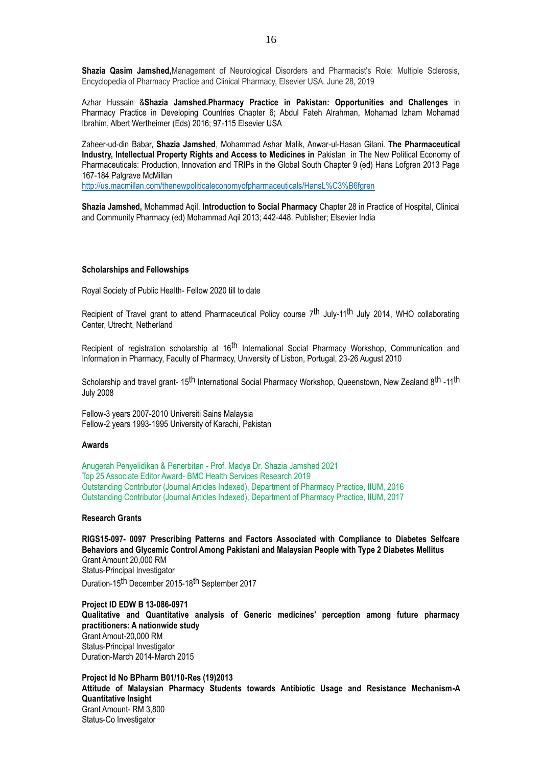**Shazia Qasim Jamshed,**Management of Neurological Disorders and Pharmacist's Role: Multiple Sclerosis, Encyclopedia of Pharmacy Practice and Clinical Pharmacy, Elsevier USA. June 28, 2019

Azhar Hussain &**Shazia Jamshed.Pharmacy Practice in Pakistan: Opportunities and Challenges** in Pharmacy Practice in Developing Countries Chapter 6; Abdul Fateh Alrahman, Mohamad Izham Mohamad Ibrahim, Albert Wertheimer (Eds) 2016; 97-115 Elsevier USA

Zaheer-ud-din Babar, **Shazia Jamshed**, Mohammad Ashar Malik, Anwar-ul-Hasan Gilani. **The Pharmaceutical Industry, Intellectual Property Rights and Access to Medicines in** Pakistan in The New Political Economy of Pharmaceuticals: Production, Innovation and TRIPs in the Global South Chapter 9 (ed) Hans Lofgren 2013 Page 167-184 Palgrave McMillan

[http://us.macmillan.com/thenewpoliticaleconomyofpharmaceuticals/HansL%C3%B6fgren](http://us.macmillan.com/thenewpoliticaleconomyofpharmaceuticals/HansLöfgren)

**Shazia Jamshed,** Mohammad Aqil. **Introduction to Social Pharmacy** Chapter 28 in Practice of Hospital, Clinical and Community Pharmacy (ed) Mohammad Aqil 2013; 442-448. Publisher; Elsevier India

#### **Scholarships and Fellowships**

Royal Society of Public Health- Fellow 2020 till to date

Recipient of Travel grant to attend Pharmaceutical Policy course 7<sup>th</sup> July-11<sup>th</sup> July 2014, WHO collaborating Center, Utrecht, Netherland

Recipient of registration scholarship at 16<sup>th</sup> International Social Pharmacy Workshop, Communication and Information in Pharmacy, Faculty of Pharmacy, University of Lisbon, Portugal, 23-26 August 2010

Scholarship and travel grant- 15<sup>th</sup> International Social Pharmacy Workshop, Queenstown, New Zealand 8<sup>th</sup> -11<sup>th</sup> July 2008

Fellow-3 years 2007-2010 Universiti Sains Malaysia Fellow-2 years 1993-1995 University of Karachi, Pakistan

#### **Awards**

Anugerah Penyelidikan & Penerbitan - Prof. Madya Dr. Shazia Jamshed 2021 Top 25 Associate Editor Award- BMC Health Services Research 2019 Outstanding Contributor (Journal Articles Indexed), Department of Pharmacy Practice, IIUM, 2016 Outstanding Contributor (Journal Articles Indexed), Department of Pharmacy Practice, IIUM, 2017

## **Research Grants**

**RIGS15-097- 0097 Prescribing Patterns and Factors Associated with Compliance to Diabetes Selfcare Behaviors and Glycemic Control Among Pakistani and Malaysian People with Type 2 Diabetes Mellitus** Grant Amount 20,000 RM Status-Principal Investigator Duration-15th December 2015-18th September 2017

**Project ID EDW B 13-086-0971 Qualitative and Quantitative analysis of Generic medicines' perception among future pharmacy practitioners: A nationwide study** Grant Amout-20,000 RM Status-Principal Investigator Duration-March 2014-March 2015

**Project Id No BPharm B01/10-Res (19)2013 Attitude of Malaysian Pharmacy Students towards Antibiotic Usage and Resistance Mechanism-A Quantitative Insight** Grant Amount- RM 3,800 Status-Co Investigator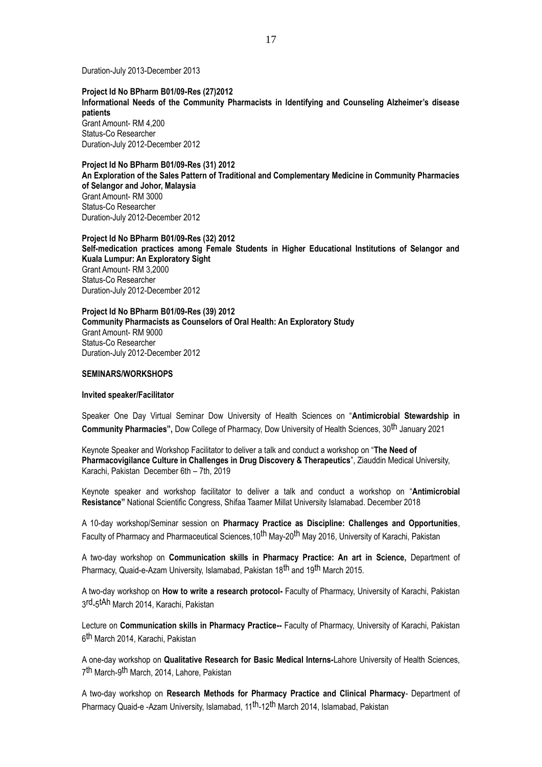Duration-July 2013-December 2013

**Project Id No BPharm B01/09-Res (27)2012 Informational Needs of the Community Pharmacists in Identifying and Counseling Alzheimer's disease patients** Grant Amount- RM 4,200 Status-Co Researcher Duration-July 2012-December 2012

**Project Id No BPharm B01/09-Res (31) 2012 An Exploration of the Sales Pattern of Traditional and Complementary Medicine in Community Pharmacies of Selangor and Johor, Malaysia** Grant Amount- RM 3000 Status-Co Researcher Duration-July 2012-December 2012

**Project Id No BPharm B01/09-Res (32) 2012 Self-medication practices among Female Students in Higher Educational Institutions of Selangor and Kuala Lumpur: An Exploratory Sight** Grant Amount- RM 3,2000 Status-Co Researcher Duration-July 2012-December 2012

**Project Id No BPharm B01/09-Res (39) 2012 Community Pharmacists as Counselors of Oral Health: An Exploratory Study** Grant Amount- RM 9000 Status-Co Researcher Duration-July 2012-December 2012

## **SEMINARS/WORKSHOPS**

**Invited speaker/Facilitator**

Speaker One Day Virtual Seminar Dow University of Health Sciences on "**Antimicrobial Stewardship in Community Pharmacies",** Dow College of Pharmacy, Dow University of Health Sciences, 30th January 2021

Keynote Speaker and Workshop Facilitator to deliver a talk and conduct a workshop on "**The Need of Pharmacovigilance Culture in Challenges in Drug Discovery & Therapeutics**", Ziauddin Medical University, Karachi, Pakistan December 6th – 7th, 2019

Keynote speaker and workshop facilitator to deliver a talk and conduct a workshop on "**Antimicrobial Resistance"** National Scientific Congress, Shifaa Taamer Millat University Islamabad. December 2018

A 10-day workshop/Seminar session on **Pharmacy Practice as Discipline: Challenges and Opportunities**, Faculty of Pharmacy and Pharmaceutical Sciences, 10<sup>th</sup> May-20<sup>th</sup> May 2016, University of Karachi, Pakistan

A two-day workshop on **Communication skills in Pharmacy Practice: An art in Science,** Department of Pharmacy, Quaid-e-Azam University, Islamabad, Pakistan 18<sup>th</sup> and 19<sup>th</sup> March 2015.

A two-day workshop on **How to write a research protocol-** Faculty of Pharmacy, University of Karachi, Pakistan 3 rd-5 tAh March 2014, Karachi, Pakistan

Lecture on **Communication skills in Pharmacy Practice--** Faculty of Pharmacy, University of Karachi, Pakistan 6<sup>th</sup> March 2014, Karachi, Pakistan

A one-day workshop on **Qualitative Research for Basic Medical Interns-**Lahore University of Health Sciences, 7<sup>th</sup> March-9<sup>th</sup> March, 2014, Lahore, Pakistan

A two-day workshop on **Research Methods for Pharmacy Practice and Clinical Pharmacy**- Department of Pharmacy Quaid-e -Azam University, Islamabad, 11<sup>th</sup>-12<sup>th</sup> March 2014, Islamabad, Pakistan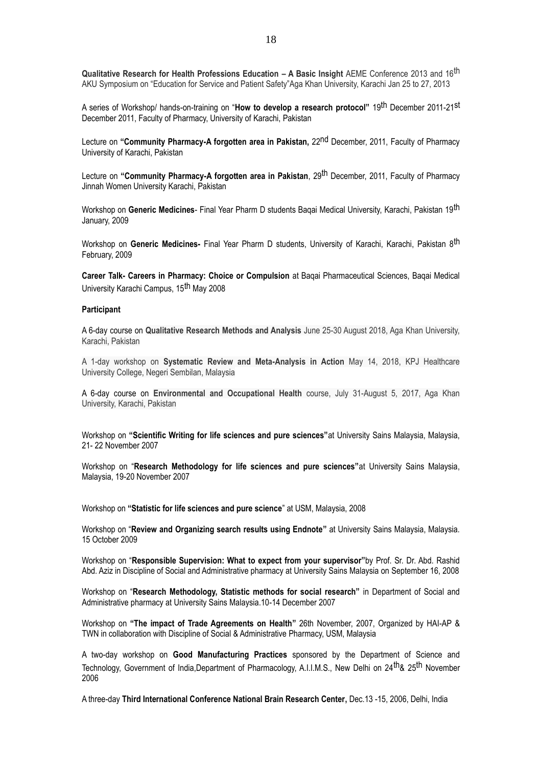**Qualitative Research for Health Professions Education – A Basic Insight** AEME Conference 2013 and 16th AKU Symposium on "Education for Service and Patient Safety"Aga Khan University, Karachi Jan 25 to 27, 2013

A series of Workshop/ hands-on-training on "**How to develop a research protocol"** 19th December 2011-21st December 2011, Faculty of Pharmacy, University of Karachi, Pakistan

Lecture on **"Community Pharmacy-A forgotten area in Pakistan,** 22nd December, 2011, Faculty of Pharmacy University of Karachi, Pakistan

Lecture on **"Community Pharmacy-A forgotten area in Pakistan**, 29th December, 2011, Faculty of Pharmacy Jinnah Women University Karachi, Pakistan

Workshop on **Generic Medicines**- Final Year Pharm D students Baqai Medical University, Karachi, Pakistan 19th January, 2009

Workshop on Generic Medicines- Final Year Pharm D students, University of Karachi, Karachi, Pakistan 8<sup>th</sup> February, 2009

**Career Talk- Careers in Pharmacy: Choice or Compulsion** at Baqai Pharmaceutical Sciences, Baqai Medical University Karachi Campus, 15th May 2008

#### **Participant**

A 6-day course on **Qualitative Research Methods and Analysis** June 25-30 August 2018, Aga Khan University, Karachi, Pakistan

A 1-day workshop on **Systematic Review and Meta-Analysis in Action** May 14, 2018, KPJ Healthcare University College, Negeri Sembilan, Malaysia

A 6-day course on **Environmental and Occupational Health** course, July 31-August 5, 2017, Aga Khan University, Karachi, Pakistan

Workshop on **"Scientific Writing for life sciences and pure sciences"**at University Sains Malaysia, Malaysia, 21- 22 November 2007

Workshop on "**Research Methodology for life sciences and pure sciences"**at University Sains Malaysia, Malaysia, 19-20 November 2007

Workshop on **"Statistic for life sciences and pure science**" at USM, Malaysia, 2008

Workshop on "**Review and Organizing search results using Endnote"** at University Sains Malaysia, Malaysia. 15 October 2009

Workshop on "**Responsible Supervision: What to expect from your supervisor"**by Prof. Sr. Dr. Abd. Rashid Abd. Aziz in Discipline of Social and Administrative pharmacy at University Sains Malaysia on September 16, 2008

Workshop on "**Research Methodology, Statistic methods for social research"** in Department of Social and Administrative pharmacy at University Sains Malaysia.10-14 December 2007

Workshop on **"The impact of Trade Agreements on Health"** 26th November, 2007, Organized by HAI-AP & TWN in collaboration with Discipline of Social & Administrative Pharmacy, USM, Malaysia

A two-day workshop on **Good Manufacturing Practices** sponsored by the Department of Science and Technology, Government of India,Department of Pharmacology, A.I.I.M.S., New Delhi on 24<sup>th</sup>& 25<sup>th</sup> November 2006

A three-day **Third International Conference National Brain Research Center,** Dec.13 -15, 2006, Delhi, India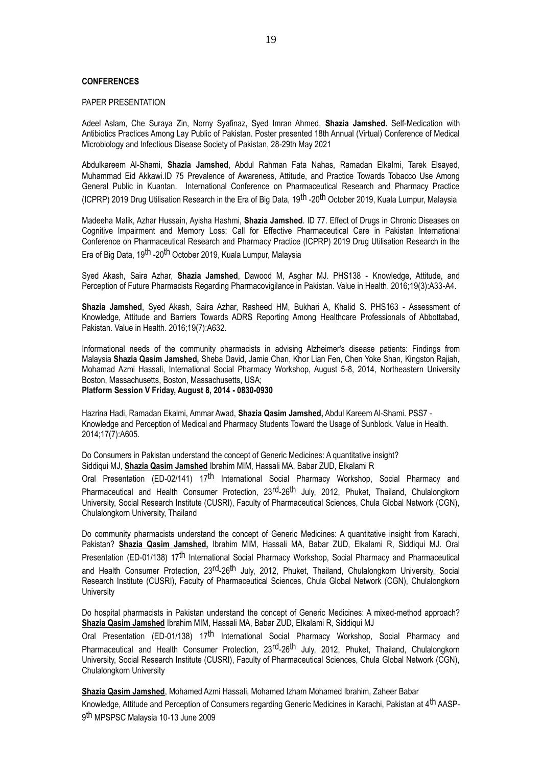#### **CONFERENCES**

#### PAPER PRESENTATION

Adeel Aslam, Che Suraya Zin, Norny Syafinaz, Syed Imran Ahmed, **Shazia Jamshed.** Self-Medication with Antibiotics Practices Among Lay Public of Pakistan. Poster presented 18th Annual (Virtual) Conference of Medical Microbiology and Infectious Disease Society of Pakistan, 28-29th May 2021

Abdulkareem Al-Shami, **Shazia Jamshed**, Abdul Rahman Fata Nahas, Ramadan Elkalmi, Tarek Elsayed, Muhammad Eid Akkawi.ID 75 Prevalence of Awareness, Attitude, and Practice Towards Tobacco Use Among General Public in Kuantan. International Conference on Pharmaceutical Research and Pharmacy Practice (ICPRP) 2019 Drug Utilisation Research in the Era of Big Data, 19th -20th October 2019, Kuala Lumpur, Malaysia

Madeeha Malik, Azhar Hussain, Ayisha Hashmi, **Shazia Jamshed***.* ID 77. Effect of Drugs in Chronic Diseases on Cognitive Impairment and Memory Loss: Call for Effective Pharmaceutical Care in Pakistan International Conference on Pharmaceutical Research and Pharmacy Practice (ICPRP) 2019 Drug Utilisation Research in the Era of Big Data, 19th -20th October 2019, Kuala Lumpur, Malaysia

Syed Akash, Saira Azhar, **Shazia Jamshed**, Dawood M, Asghar MJ. PHS138 - Knowledge, Attitude, and Perception of Future Pharmacists Regarding Pharmacovigilance in Pakistan. Value in Health. 2016;19(3):A33-A4.

**Shazia Jamshed**, Syed Akash, Saira Azhar, Rasheed HM, Bukhari A, Khalid S. PHS163 - Assessment of Knowledge, Attitude and Barriers Towards ADRS Reporting Among Healthcare Professionals of Abbottabad, Pakistan. Value in Health. 2016;19(7):A632.

Informational needs of the community pharmacists in advising Alzheimer's disease patients: Findings from Malaysia **Shazia Qasim Jamshed,** Sheba David, Jamie Chan, Khor Lian Fen, Chen Yoke Shan, Kingston Rajiah, Mohamad Azmi Hassali, International Social Pharmacy Workshop, August 5-8, 2014, Northeastern University Boston, Massachusetts, Boston, Massachusetts, USA; **Platform Session V Friday, August 8, 2014 - 0830-0930**

Hazrina Hadi, Ramadan Ekalmi, Ammar Awad, **Shazia Qasim Jamshed,** Abdul Kareem Al-Shami. PSS7 - Knowledge and Perception of Medical and Pharmacy Students Toward the Usage of Sunblock. Value in Health. 2014;17(7):A605.

Do Consumers in Pakistan understand the concept of Generic Medicines: A quantitative insight? Siddiqui MJ, **Shazia Qasim Jamshed** Ibrahim MIM, Hassali MA, Babar ZUD, Elkalami R

Oral Presentation (ED-02/141) 17<sup>th</sup> International Social Pharmacy Workshop, Social Pharmacy and Pharmaceutical and Health Consumer Protection, 23<sup>rd</sup>-26<sup>th</sup> July, 2012, Phuket, Thailand, Chulalongkorn University, Social Research Institute (CUSRI), Faculty of Pharmaceutical Sciences, Chula Global Network (CGN), Chulalongkorn University, Thailand

Do community pharmacists understand the concept of Generic Medicines: A quantitative insight from Karachi, Pakistan? **Shazia Qasim Jamshed,** Ibrahim MIM, Hassali MA, Babar ZUD, Elkalami R, Siddiqui MJ. Oral Presentation (ED-01/138) 17<sup>th</sup> International Social Pharmacy Workshop, Social Pharmacy and Pharmaceutical and Health Consumer Protection, 23<sup>rd</sup>-26<sup>th</sup> July, 2012, Phuket, Thailand, Chulalongkorn University, Social Research Institute (CUSRI), Faculty of Pharmaceutical Sciences, Chula Global Network (CGN), Chulalongkorn **University** 

Do hospital pharmacists in Pakistan understand the concept of Generic Medicines: A mixed-method approach? **Shazia Qasim Jamshed** Ibrahim MIM, Hassali MA, Babar ZUD, Elkalami R, Siddiqui MJ

Oral Presentation (ED-01/138) 17<sup>th</sup> International Social Pharmacy Workshop, Social Pharmacy and Pharmaceutical and Health Consumer Protection, 23<sup>rd</sup>-26<sup>th</sup> July, 2012, Phuket, Thailand, Chulalongkorn University, Social Research Institute (CUSRI), Faculty of Pharmaceutical Sciences, Chula Global Network (CGN), Chulalongkorn University

**Shazia Qasim Jamshed**, Mohamed Azmi Hassali, Mohamed Izham Mohamed Ibrahim, Zaheer Babar Knowledge, Attitude and Perception of Consumers regarding Generic Medicines in Karachi, Pakistan at 4th AASP-9<sup>th</sup> MPSPSC Malaysia 10-13 June 2009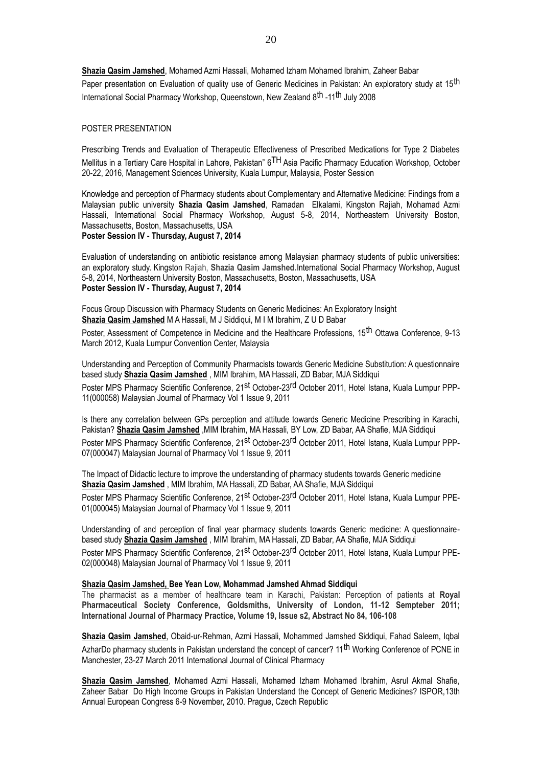**Shazia Qasim Jamshed**, Mohamed Azmi Hassali, Mohamed Izham Mohamed Ibrahim, Zaheer Babar Paper presentation on Evaluation of quality use of Generic Medicines in Pakistan: An exploratory study at 15<sup>th</sup> International Social Pharmacy Workshop, Queenstown, New Zealand 8<sup>th</sup> -11<sup>th</sup> July 2008

## POSTER PRESENTATION

Prescribing Trends and Evaluation of Therapeutic Effectiveness of Prescribed Medications for Type 2 Diabetes Mellitus in a Tertiary Care Hospital in Lahore, Pakistan" 6<sup>TH</sup> Asia Pacific Pharmacy Education Workshop, October 20-22, 2016, Management Sciences University, Kuala Lumpur, Malaysia, Poster Session

Knowledge and perception of Pharmacy students about Complementary and Alternative Medicine: Findings from a Malaysian public university **Shazia Qasim Jamshed**, Ramadan Elkalami, Kingston Rajiah, Mohamad Azmi Hassali, International Social Pharmacy Workshop, August 5-8, 2014, Northeastern University Boston, Massachusetts, Boston, Massachusetts, USA **Poster Session IV - Thursday, August 7, 2014**

Evaluation of understanding on antibiotic resistance among Malaysian pharmacy students of public universities: an exploratory study. Kingston Rajiah, **Shazia Qasim Jamshed.**International Social Pharmacy Workshop, August 5-8, 2014, Northeastern University Boston, Massachusetts, Boston, Massachusetts, USA **Poster Session IV - Thursday, August 7, 2014**

Focus Group Discussion with Pharmacy Students on Generic Medicines: An Exploratory Insight **Shazia Qasim Jamshed** M A Hassali, M J Siddiqui, M I M Ibrahim, Z U D Babar

Poster, Assessment of Competence in Medicine and the Healthcare Professions, 15<sup>th</sup> Ottawa Conference, 9-13 March 2012, Kuala Lumpur Convention Center, Malaysia

Understanding and Perception of Community Pharmacists towards Generic Medicine Substitution: A questionnaire based study **Shazia Qasim Jamshed** , MIM Ibrahim, MA Hassali, ZD Babar, MJA Siddiqui Poster MPS Pharmacy Scientific Conference, 21<sup>st</sup> October-23<sup>rd</sup> October 2011, Hotel Istana, Kuala Lumpur PPP-11(000058) Malaysian Journal of Pharmacy Vol 1 Issue 9, 2011

Is there any correlation between GPs perception and attitude towards Generic Medicine Prescribing in Karachi, Pakistan? **Shazia Qasim Jamshed** ,MIM Ibrahim, MA Hassali, BY Low, ZD Babar, AA Shafie, MJA Siddiqui Poster MPS Pharmacy Scientific Conference, 21<sup>st</sup> October-23<sup>rd</sup> October 2011, Hotel Istana, Kuala Lumpur PPP-07(000047) Malaysian Journal of Pharmacy Vol 1 Issue 9, 2011

The Impact of Didactic lecture to improve the understanding of pharmacy students towards Generic medicine **Shazia Qasim Jamshed** , MIM Ibrahim, MA Hassali, ZD Babar, AA Shafie, MJA Siddiqui

Poster MPS Pharmacy Scientific Conference, 21<sup>st</sup> October-23<sup>rd</sup> October 2011, Hotel Istana, Kuala Lumpur PPE-01(000045) Malaysian Journal of Pharmacy Vol 1 Issue 9, 2011

Understanding of and perception of final year pharmacy students towards Generic medicine: A questionnairebased study **Shazia Qasim Jamshed** , MIM Ibrahim, MA Hassali, ZD Babar, AA Shafie, MJA Siddiqui

Poster MPS Pharmacy Scientific Conference, 21<sup>st</sup> October-23<sup>rd</sup> October 2011, Hotel Istana, Kuala Lumpur PPE-02(000048) Malaysian Journal of Pharmacy Vol 1 Issue 9, 2011

## **Shazia Qasim Jamshed, Bee Yean Low, Mohammad Jamshed Ahmad Siddiqui**

The pharmacist as a member of healthcare team in Karachi, Pakistan: Perception of patients at **Royal Pharmaceutical Society Conference, Goldsmiths, University of London, 11-12 Sempteber 2011; International Journal of Pharmacy Practice, Volume 19, Issue s2, Abstract No 84, 106-108**

**Shazia Qasim Jamshed**, Obaid-ur-Rehman, Azmi Hassali, Mohammed Jamshed Siddiqui, Fahad Saleem, Iqbal AzharDo pharmacy students in Pakistan understand the concept of cancer? 11<sup>th</sup> Working Conference of PCNE in Manchester, 23-27 March 2011 International Journal of Clinical Pharmacy

**Shazia Qasim Jamshed**, Mohamed Azmi Hassali, Mohamed Izham Mohamed Ibrahim, Asrul Akmal Shafie, Zaheer Babar Do High Income Groups in Pakistan Understand the Concept of Generic Medicines? ISPOR,13th Annual European Congress 6-9 November, 2010. Prague, Czech Republic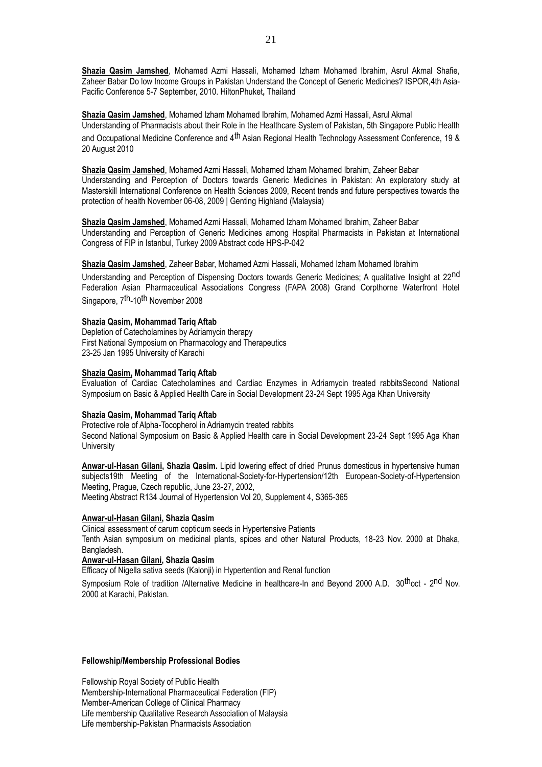**Shazia Qasim Jamshed**, Mohamed Azmi Hassali, Mohamed Izham Mohamed Ibrahim, Asrul Akmal Shafie, Zaheer Babar Do low Income Groups in Pakistan Understand the Concept of Generic Medicines? ISPOR,4th Asia-Pacific Conference 5-7 September, 2010. HiltonPhuket**,** Thailand

**Shazia Qasim Jamshed**, Mohamed Izham Mohamed Ibrahim, Mohamed Azmi Hassali, Asrul Akmal Understanding of Pharmacists about their Role in the Healthcare System of Pakistan, 5th Singapore Public Health and Occupational Medicine Conference and 4<sup>th</sup> Asian Regional Health Technology Assessment Conference, 19 & 20 August 2010

**Shazia Qasim Jamshed**, Mohamed Azmi Hassali, Mohamed Izham Mohamed Ibrahim, Zaheer Babar Understanding and Perception of Doctors towards Generic Medicines in Pakistan: An exploratory study at Masterskill International Conference on Health Sciences 2009, Recent trends and future perspectives towards the protection of health November 06-08, 2009 | Genting Highland (Malaysia)

**Shazia Qasim Jamshed**, Mohamed Azmi Hassali, Mohamed Izham Mohamed Ibrahim, Zaheer Babar Understanding and Perception of Generic Medicines among Hospital Pharmacists in Pakistan at International Congress of FIP in Istanbul, Turkey 2009 Abstract code HPS-P-042

**Shazia Qasim Jamshed**, Zaheer Babar, Mohamed Azmi Hassali, Mohamed Izham Mohamed Ibrahim

Understanding and Perception of Dispensing Doctors towards Generic Medicines; A qualitative Insight at 22<sup>nd</sup> Federation Asian Pharmaceutical Associations Congress (FAPA 2008) Grand Corpthorne Waterfront Hotel Singapore, 7th-10th November 2008

## **Shazia Qasim, Mohammad Tariq Aftab**

Depletion of Catecholamines by Adriamycin therapy First National Symposium on Pharmacology and Therapeutics 23-25 Jan 1995 University of Karachi

## **Shazia Qasim, Mohammad Tariq Aftab**

Evaluation of Cardiac Catecholamines and Cardiac Enzymes in Adriamycin treated rabbitsSecond National Symposium on Basic & Applied Health Care in Social Development 23-24 Sept 1995 Aga Khan University

## **Shazia Qasim, Mohammad Tariq Aftab**

Protective role of Alpha-Tocopherol in Adriamycin treated rabbits Second National Symposium on Basic & Applied Health care in Social Development 23-24 Sept 1995 Aga Khan **University** 

**Anwar-ul-Hasan Gilani, Shazia Qasim.** Lipid lowering effect of dried Prunus domesticus in hypertensive human subjects19th Meeting of the International-Society-for-Hypertension/12th European-Society-of-Hypertension Meeting, Prague, Czech republic, June 23-27, 2002, Meeting Abstract R134 Journal of Hypertension Vol 20, Supplement 4, S365-365

# **Anwar-ul-Hasan Gilani, Shazia Qasim**

Clinical assessment of carum copticum seeds in Hypertensive Patients Tenth Asian symposium on medicinal plants, spices and other Natural Products, 18-23 Nov. 2000 at Dhaka, Bangladesh.

# **Anwar-ul-Hasan Gilani, Shazia Qasim**

Efficacy of Nigella sativa seeds (Kalonji) in Hypertention and Renal function

Symposium Role of tradition /Alternative Medicine in healthcare-In and Beyond 2000 A.D. 30<sup>th</sup>oct - 2<sup>nd</sup> Nov. 2000 at Karachi, Pakistan.

## **Fellowship/Membership Professional Bodies**

Fellowship Royal Society of Public Health Membership-International Pharmaceutical Federation (FIP) Member-American College of Clinical Pharmacy Life membership Qualitative Research Association of Malaysia Life membership-Pakistan Pharmacists Association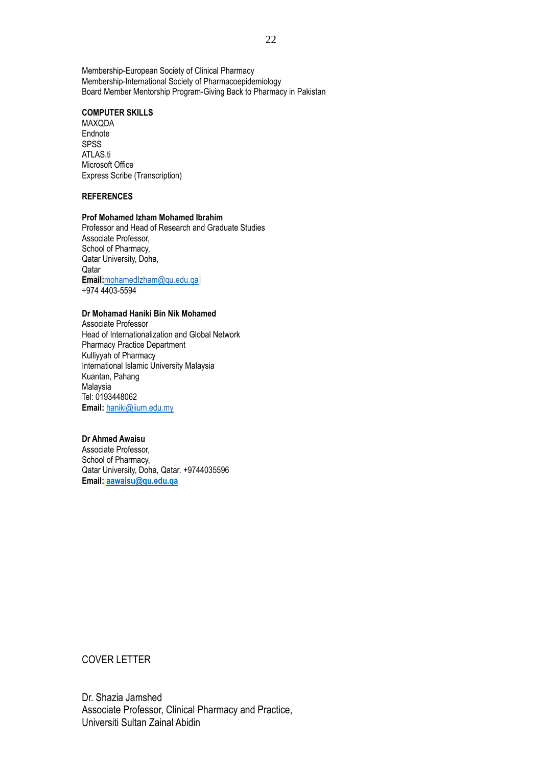Membership-European Society of Clinical Pharmacy Membership-International Society of Pharmacoepidemiology Board Member Mentorship Program-Giving Back to Pharmacy in Pakistan

## **COMPUTER SKILLS**

MAXQDA Endnote **SPSS** ATLAS.ti Microsoft Office Express Scribe (Transcription)

# **REFERENCES**

## **Prof Mohamed Izham Mohamed Ibrahim**

Professor and Head of Research and Graduate Studies Associate Professor, School of Pharmacy, Qatar University, Doha, **Oatar Email:**[mohamedIzham@qu.edu.qa](mailto:mohamedIzham@qu.edu.qa) +974 4403-5594

## **Dr Mohamad Haniki Bin Nik Mohamed**

Associate Professor Head of Internationalization and Global Network Pharmacy Practice Department Kulliyyah of Pharmacy International Islamic University Malaysia Kuantan, Pahang Malaysia Tel: 0193448062 **Email:** [haniki@iium.edu.my](mailto:haniki@iium.edu.my)

## **Dr Ahmed Awaisu**

Associate Professor, School of Pharmacy, Qatar University, Doha, Qatar. +9744035596 **Email: [aawaisu@qu.edu.qa](mailto:aawaisu@qu.edu.qa)**

# COVER LETTER

Dr. Shazia Jamshed Associate Professor, Clinical Pharmacy and Practice, Universiti Sultan Zainal Abidin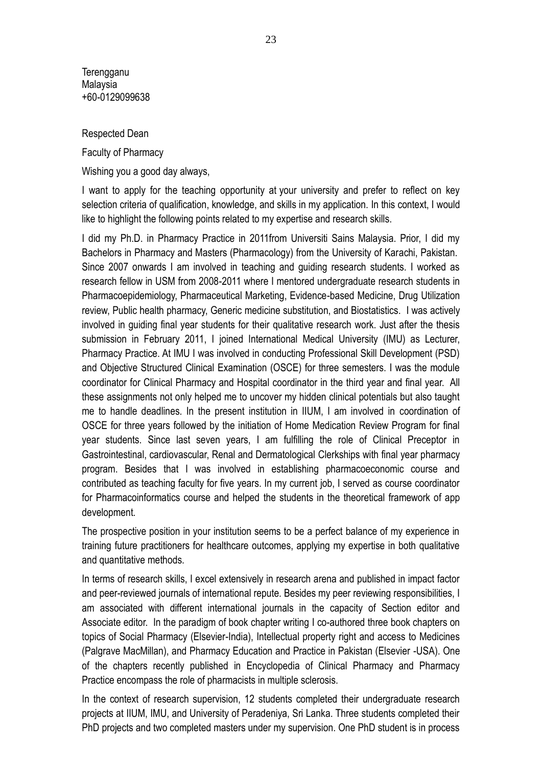**Terengganu** Malaysia +60-0129099638

# Respected Dean

Faculty of Pharmacy

Wishing you a good day always,

I want to apply for the teaching opportunity at your university and prefer to reflect on key selection criteria of qualification, knowledge, and skills in my application. In this context, I would like to highlight the following points related to my expertise and research skills.

I did my Ph.D. in Pharmacy Practice in 2011from Universiti Sains Malaysia. Prior, I did my Bachelors in Pharmacy and Masters (Pharmacology) from the University of Karachi, Pakistan. Since 2007 onwards I am involved in teaching and guiding research students. I worked as research fellow in USM from 2008-2011 where I mentored undergraduate research students in Pharmacoepidemiology, Pharmaceutical Marketing, Evidence-based Medicine, Drug Utilization review, Public health pharmacy, Generic medicine substitution, and Biostatistics. I was actively involved in guiding final year students for their qualitative research work. Just after the thesis submission in February 2011, I joined International Medical University (IMU) as Lecturer, Pharmacy Practice. At IMU I was involved in conducting Professional Skill Development (PSD) and Objective Structured Clinical Examination (OSCE) for three semesters. I was the module coordinator for Clinical Pharmacy and Hospital coordinator in the third year and final year. All these assignments not only helped me to uncover my hidden clinical potentials but also taught me to handle deadlines. In the present institution in IIUM, I am involved in coordination of OSCE for three years followed by the initiation of Home Medication Review Program for final year students. Since last seven years, I am fulfilling the role of Clinical Preceptor in Gastrointestinal, cardiovascular, Renal and Dermatological Clerkships with final year pharmacy program. Besides that I was involved in establishing pharmacoeconomic course and contributed as teaching faculty for five years. In my current job, I served as course coordinator for Pharmacoinformatics course and helped the students in the theoretical framework of app development.

The prospective position in your institution seems to be a perfect balance of my experience in training future practitioners for healthcare outcomes, applying my expertise in both qualitative and quantitative methods.

In terms of research skills, I excel extensively in research arena and published in impact factor and peer-reviewed journals of international repute. Besides my peer reviewing responsibilities, I am associated with different international journals in the capacity of Section editor and Associate editor. In the paradigm of book chapter writing I co-authored three book chapters on topics of Social Pharmacy (Elsevier-India), Intellectual property right and access to Medicines (Palgrave MacMillan), and Pharmacy Education and Practice in Pakistan (Elsevier -USA). One of the chapters recently published in Encyclopedia of Clinical Pharmacy and Pharmacy Practice encompass the role of pharmacists in multiple sclerosis.

In the context of research supervision, 12 students completed their undergraduate research projects at IIUM, IMU, and University of Peradeniya, Sri Lanka. Three students completed their PhD projects and two completed masters under my supervision. One PhD student is in process